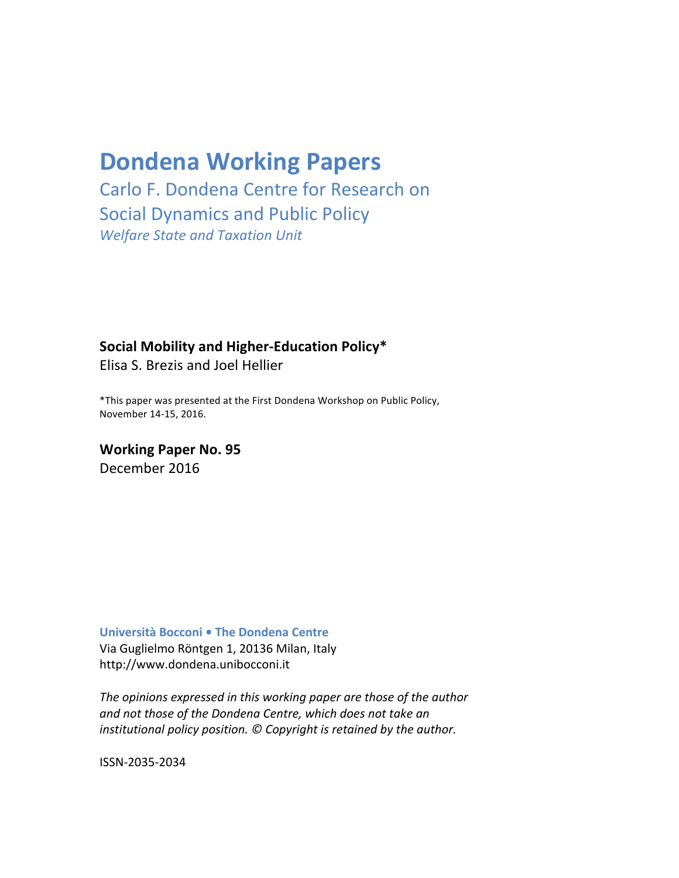# **Dondena Working Papers**

Carlo F. Dondena Centre for Research on Social Dynamics and Public Policy *Welfare State and Taxation Unit*

# **Social Mobility and Higher-Education Policy\***

Elisa S. Brezis and Joel Hellier

\*This paper was presented at the First Dondena Workshop on Public Policy, November 14-15, 2016.

**Working Paper No. 95** December 2016

**Università Bocconi • The Dondena Centre** 

Via Guglielmo Röntgen 1, 20136 Milan, Italy http://www.dondena.unibocconi.it

The opinions expressed in this working paper are those of the author and not those of the Dondena Centre, which does not take an *institutional policy position.* © Copyright is retained by the author.

ISSN-2035-2034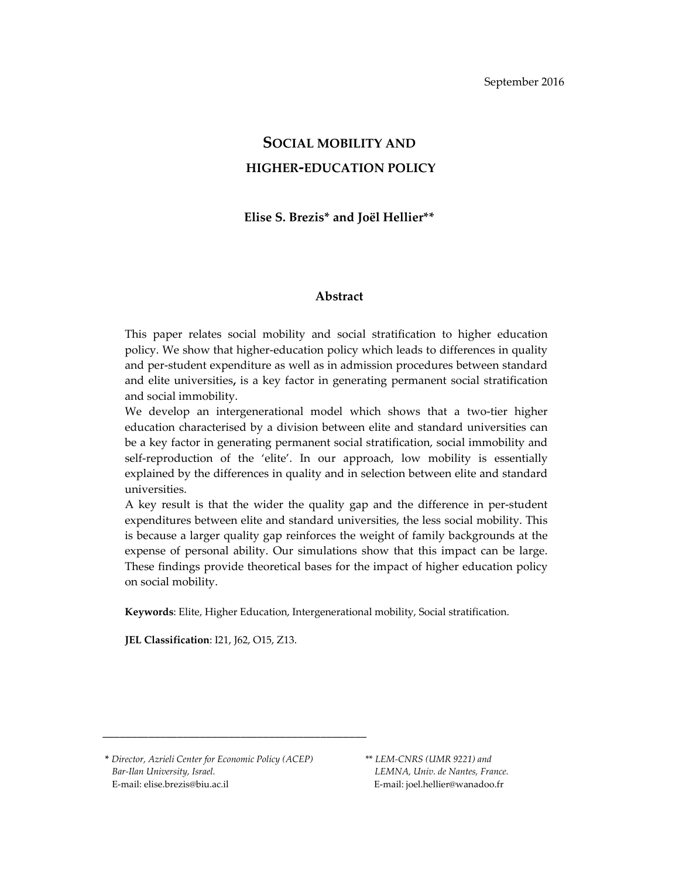# **SOCIAL MOBILITY AND HIGHER‐EDUCATION POLICY**

#### **Elise S. Brezis\* and Joël Hellier\*\***

#### **Abstract**

This paper relates social mobility and social stratification to higher education policy. We show that higher‐education policy which leads to differences in quality and per‐student expenditure as well as in admission procedures between standard and elite universities**,** is a key factor in generating permanent social stratification and social immobility.

We develop an intergenerational model which shows that a two-tier higher education characterised by a division between elite and standard universities can be a key factor in generating permanent social stratification, social immobility and self-reproduction of the 'elite'. In our approach, low mobility is essentially explained by the differences in quality and in selection between elite and standard universities.

A key result is that the wider the quality gap and the difference in per‐student expenditures between elite and standard universities, the less social mobility. This is because a larger quality gap reinforces the weight of family backgrounds at the expense of personal ability. Our simulations show that this impact can be large. These findings provide theoretical bases for the impact of higher education policy on social mobility.

**Keywords**: Elite, Higher Education, Intergenerational mobility, Social stratification.

**JEL Classification**: I21, J62, O15, Z13.

**\*** *Director, Azrieli Center for Economic Policy (ACEP)*  \*\* *LEM‐CNRS (UMR 9221) and Bar‐Ilan University, Israel. LEMNA, Univ. de Nantes, France.* E‐mail: elise.brezis@biu.ac.il E‐mail: joel.hellier@wanadoo.fr

**\_\_\_\_\_\_\_\_\_\_\_\_\_\_\_\_\_\_\_\_\_\_\_\_\_\_\_\_\_\_\_\_\_\_\_\_\_\_\_\_\_\_\_\_\_\_**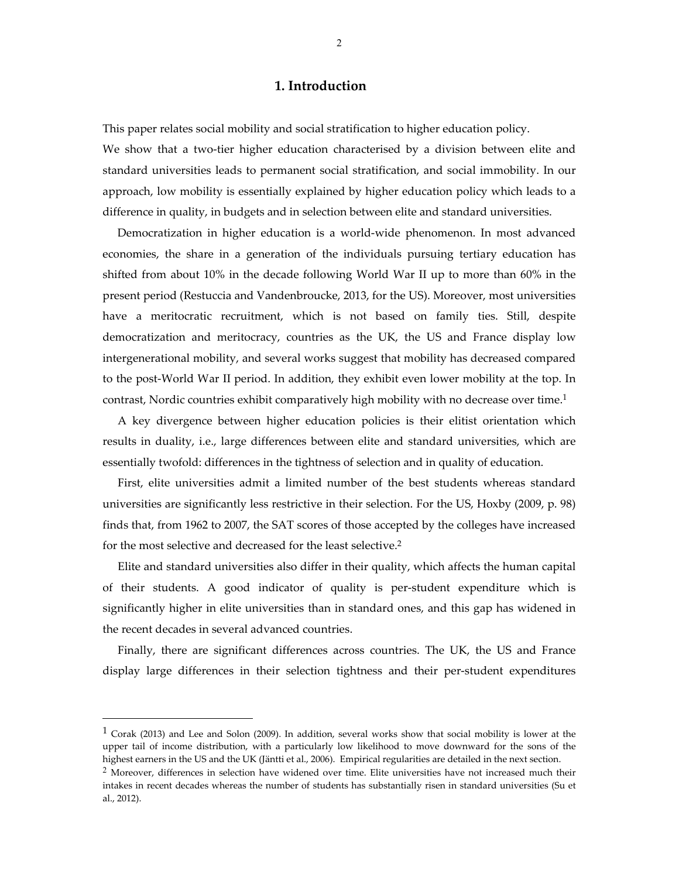### **1. Introduction**

This paper relates social mobility and social stratification to higher education policy. We show that a two-tier higher education characterised by a division between elite and standard universities leads to permanent social stratification, and social immobility. In our approach, low mobility is essentially explained by higher education policy which leads to a difference in quality, in budgets and in selection between elite and standard universities.

Democratization in higher education is a world-wide phenomenon. In most advanced economies, the share in a generation of the individuals pursuing tertiary education has shifted from about 10% in the decade following World War II up to more than 60% in the present period (Restuccia and Vandenbroucke, 2013, for the US). Moreover, most universities have a meritocratic recruitment, which is not based on family ties. Still, despite democratization and meritocracy, countries as the UK, the US and France display low intergenerational mobility, and several works suggest that mobility has decreased compared to the post‐World War II period. In addition, they exhibit even lower mobility at the top. In contrast, Nordic countries exhibit comparatively high mobility with no decrease over time.1

A key divergence between higher education policies is their elitist orientation which results in duality, i.e., large differences between elite and standard universities, which are essentially twofold: differences in the tightness of selection and in quality of education.

 First, elite universities admit a limited number of the best students whereas standard universities are significantly less restrictive in their selection. For the US, Hoxby (2009, p. 98) finds that, from 1962 to 2007, the SAT scores of those accepted by the colleges have increased for the most selective and decreased for the least selective.2

Elite and standard universities also differ in their quality, which affects the human capital of their students. A good indicator of quality is per‐student expenditure which is significantly higher in elite universities than in standard ones, and this gap has widened in the recent decades in several advanced countries.

Finally, there are significant differences across countries. The UK, the US and France display large differences in their selection tightness and their per‐student expenditures

 $\overline{\phantom{a}}$ 

 $1$  Corak (2013) and Lee and Solon (2009). In addition, several works show that social mobility is lower at the upper tail of income distribution, with a particularly low likelihood to move downward for the sons of the highest earners in the US and the UK (Jäntti et al., 2006). Empirical regularities are detailed in the next section.

 $<sup>2</sup>$  Moreover, differences in selection have widened over time. Elite universities have not increased much their</sup> intakes in recent decades whereas the number of students has substantially risen in standard universities (Su et al., 2012).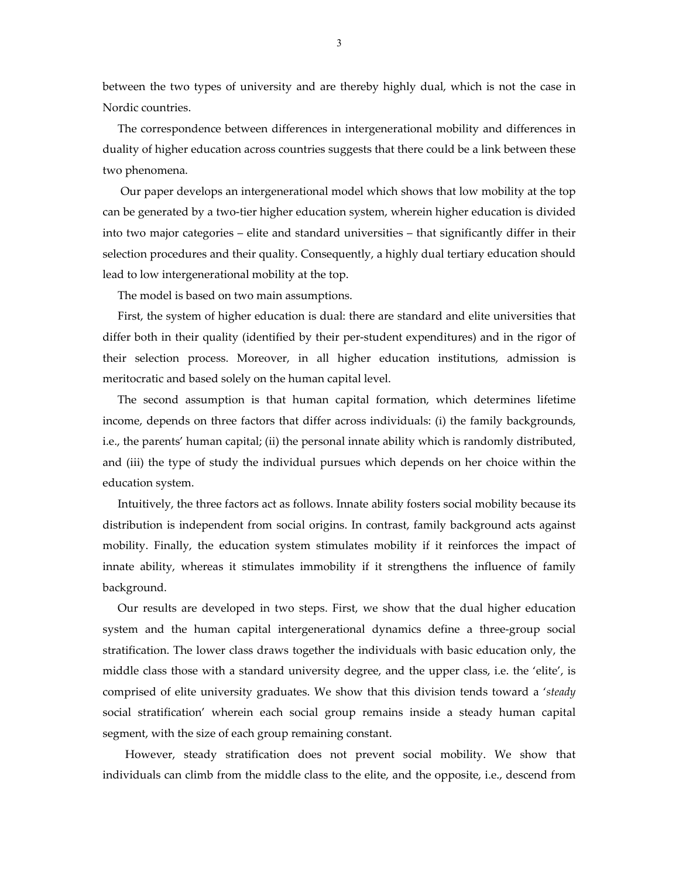between the two types of university and are thereby highly dual, which is not the case in Nordic countries.

The correspondence between differences in intergenerational mobility and differences in duality of higher education across countries suggests that there could be a link between these two phenomena.

 Our paper develops an intergenerational model which shows that low mobility at the top can be generated by a two‐tier higher education system, wherein higher education is divided into two major categories – elite and standard universities – that significantly differ in their selection procedures and their quality. Consequently, a highly dual tertiary education should lead to low intergenerational mobility at the top.

The model is based on two main assumptions.

First, the system of higher education is dual: there are standard and elite universities that differ both in their quality (identified by their per-student expenditures) and in the rigor of their selection process. Moreover, in all higher education institutions, admission is meritocratic and based solely on the human capital level.

The second assumption is that human capital formation, which determines lifetime income, depends on three factors that differ across individuals: (i) the family backgrounds, i.e., the parents' human capital; (ii) the personal innate ability which is randomly distributed, and (iii) the type of study the individual pursues which depends on her choice within the education system.

Intuitively, the three factors act as follows. Innate ability fosters social mobility because its distribution is independent from social origins. In contrast, family background acts against mobility. Finally, the education system stimulates mobility if it reinforces the impact of innate ability, whereas it stimulates immobility if it strengthens the influence of family background.

Our results are developed in two steps. First, we show that the dual higher education system and the human capital intergenerational dynamics define a three‐group social stratification. The lower class draws together the individuals with basic education only, the middle class those with a standard university degree, and the upper class, i.e. the 'elite', is comprised of elite university graduates. We show that this division tends toward a '*steady* social stratification' wherein each social group remains inside a steady human capital segment, with the size of each group remaining constant.

However, steady stratification does not prevent social mobility. We show that individuals can climb from the middle class to the elite, and the opposite, i.e., descend from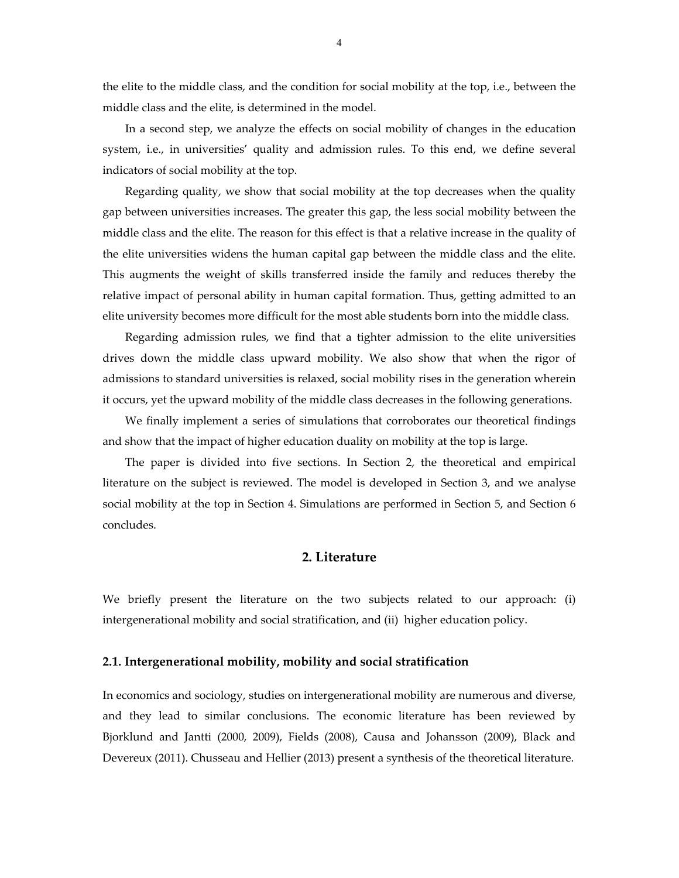the elite to the middle class, and the condition for social mobility at the top, i.e., between the middle class and the elite, is determined in the model.

In a second step, we analyze the effects on social mobility of changes in the education system, i.e., in universities' quality and admission rules. To this end, we define several indicators of social mobility at the top.

Regarding quality, we show that social mobility at the top decreases when the quality gap between universities increases. The greater this gap, the less social mobility between the middle class and the elite. The reason for this effect is that a relative increase in the quality of the elite universities widens the human capital gap between the middle class and the elite. This augments the weight of skills transferred inside the family and reduces thereby the relative impact of personal ability in human capital formation. Thus, getting admitted to an elite university becomes more difficult for the most able students born into the middle class.

Regarding admission rules, we find that a tighter admission to the elite universities drives down the middle class upward mobility. We also show that when the rigor of admissions to standard universities is relaxed, social mobility rises in the generation wherein it occurs, yet the upward mobility of the middle class decreases in the following generations.

We finally implement a series of simulations that corroborates our theoretical findings and show that the impact of higher education duality on mobility at the top is large.

The paper is divided into five sections. In Section 2, the theoretical and empirical literature on the subject is reviewed. The model is developed in Section 3, and we analyse social mobility at the top in Section 4. Simulations are performed in Section 5, and Section 6 concludes.

#### **2. Literature**

We briefly present the literature on the two subjects related to our approach: (i) intergenerational mobility and social stratification, and (ii) higher education policy.

#### **2.1. Intergenerational mobility, mobility and social stratification**

In economics and sociology, studies on intergenerational mobility are numerous and diverse, and they lead to similar conclusions. The economic literature has been reviewed by Bjorklund and Jantti (2000, 2009), Fields (2008), Causa and Johansson (2009), Black and Devereux (2011). Chusseau and Hellier (2013) present a synthesis of the theoretical literature.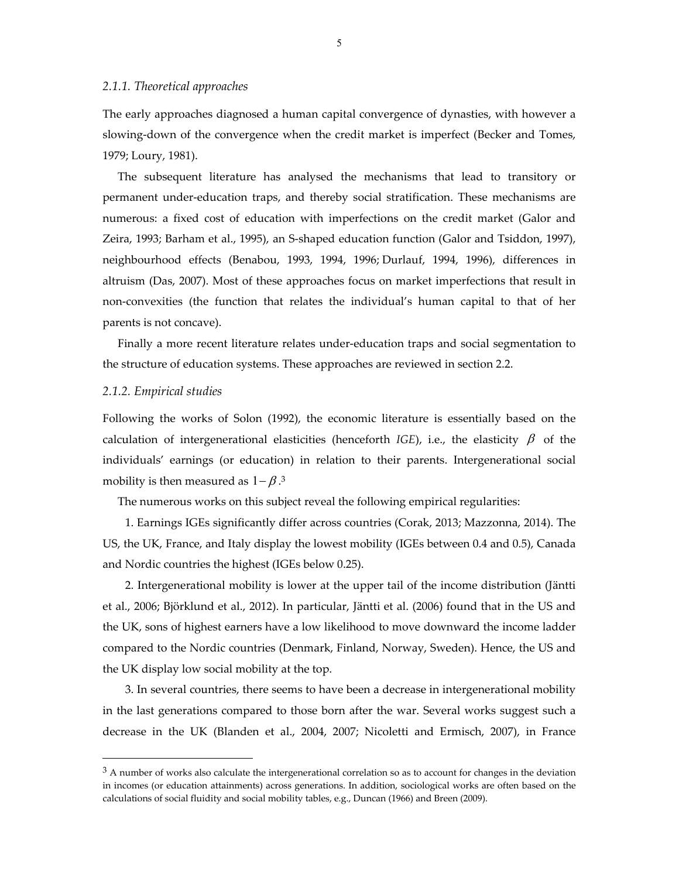The early approaches diagnosed a human capital convergence of dynasties, with however a slowing‐down of the convergence when the credit market is imperfect (Becker and Tomes, 1979; Loury, 1981).

The subsequent literature has analysed the mechanisms that lead to transitory or permanent under‐education traps, and thereby social stratification. These mechanisms are numerous: a fixed cost of education with imperfections on the credit market (Galor and Zeira, 1993; Barham et al., 1995), an S‐shaped education function (Galor and Tsiddon, 1997), neighbourhood effects (Benabou, 1993, 1994, 1996; Durlauf, 1994, 1996), differences in altruism (Das, 2007). Most of these approaches focus on market imperfections that result in non‐convexities (the function that relates the individual's human capital to that of her parents is not concave).

Finally a more recent literature relates under‐education traps and social segmentation to the structure of education systems. These approaches are reviewed in section 2.2.

#### *2.1.2. Empirical studies*

 $\overline{a}$ 

Following the works of Solon (1992), the economic literature is essentially based on the calculation of intergenerational elasticities (henceforth *IGE*), i.e., the elasticity  $\beta$  of the individuals' earnings (or education) in relation to their parents. Intergenerational social mobility is then measured as  $1-\beta$ .<sup>3</sup>

The numerous works on this subject reveal the following empirical regularities:

1. Earnings IGEs significantly differ across countries (Corak, 2013; Mazzonna, 2014). The US, the UK, France, and Italy display the lowest mobility (IGEs between 0.4 and 0.5), Canada and Nordic countries the highest (IGEs below 0.25).

2. Intergenerational mobility is lower at the upper tail of the income distribution (Jäntti et al., 2006; Björklund et al., 2012). In particular, Jäntti et al. (2006) found that in the US and the UK, sons of highest earners have a low likelihood to move downward the income ladder compared to the Nordic countries (Denmark, Finland, Norway, Sweden). Hence, the US and the UK display low social mobility at the top.

3. In several countries, there seems to have been a decrease in intergenerational mobility in the last generations compared to those born after the war. Several works suggest such a decrease in the UK (Blanden et al., 2004, 2007; Nicoletti and Ermisch, 2007), in France

 $3$  A number of works also calculate the intergenerational correlation so as to account for changes in the deviation in incomes (or education attainments) across generations. In addition, sociological works are often based on the calculations of social fluidity and social mobility tables, e.g., Duncan (1966) and Breen (2009).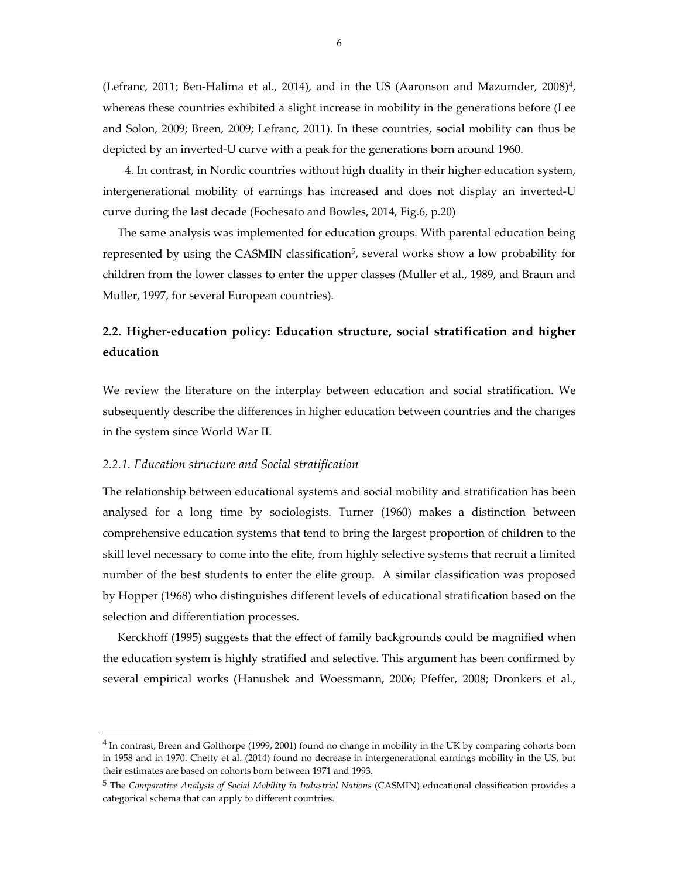(Lefranc, 2011; Ben-Halima et al., 2014), and in the US (Aaronson and Mazumder,  $2008$ <sup>4</sup>, whereas these countries exhibited a slight increase in mobility in the generations before (Lee and Solon, 2009; Breen, 2009; Lefranc, 2011). In these countries, social mobility can thus be depicted by an inverted‐U curve with a peak for the generations born around 1960.

4. In contrast, in Nordic countries without high duality in their higher education system, intergenerational mobility of earnings has increased and does not display an inverted‐U curve during the last decade (Fochesato and Bowles, 2014, Fig.6, p.20)

The same analysis was implemented for education groups. With parental education being represented by using the CASMIN classification<sup>5</sup>, several works show a low probability for children from the lower classes to enter the upper classes (Muller et al., 1989, and Braun and Muller, 1997, for several European countries).

# **2.2. Higher‐education policy: Education structure, social stratification and higher education**

We review the literature on the interplay between education and social stratification. We subsequently describe the differences in higher education between countries and the changes in the system since World War II.

#### *2.2.1. Education structure and Social stratification*

 $\overline{\phantom{a}}$ 

The relationship between educational systems and social mobility and stratification has been analysed for a long time by sociologists. Turner (1960) makes a distinction between comprehensive education systems that tend to bring the largest proportion of children to the skill level necessary to come into the elite, from highly selective systems that recruit a limited number of the best students to enter the elite group. A similar classification was proposed by Hopper (1968) who distinguishes different levels of educational stratification based on the selection and differentiation processes.

Kerckhoff (1995) suggests that the effect of family backgrounds could be magnified when the education system is highly stratified and selective. This argument has been confirmed by several empirical works (Hanushek and Woessmann, 2006; Pfeffer, 2008; Dronkers et al.,

<sup>4</sup> In contrast, Breen and Golthorpe (1999, 2001) found no change in mobility in the UK by comparing cohorts born in 1958 and in 1970. Chetty et al. (2014) found no decrease in intergenerational earnings mobility in the US, but their estimates are based on cohorts born between 1971 and 1993.

<sup>5</sup> The *Comparative Analysis of Social Mobility in Industrial Nations* (CASMIN) educational classification provides a categorical schema that can apply to different countries.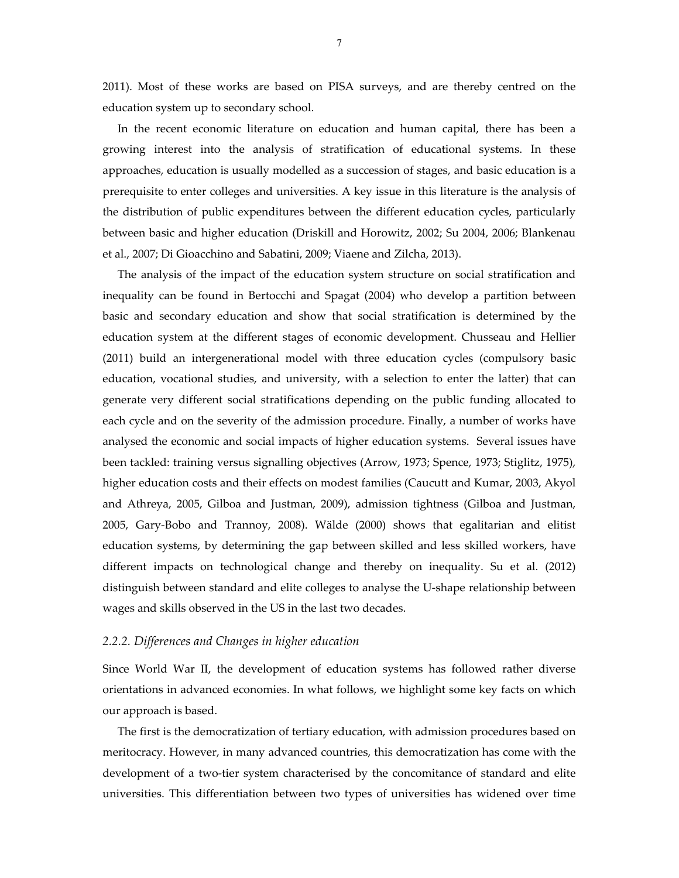2011). Most of these works are based on PISA surveys, and are thereby centred on the education system up to secondary school.

In the recent economic literature on education and human capital, there has been a growing interest into the analysis of stratification of educational systems. In these approaches, education is usually modelled as a succession of stages, and basic education is a prerequisite to enter colleges and universities. A key issue in this literature is the analysis of the distribution of public expenditures between the different education cycles, particularly between basic and higher education (Driskill and Horowitz, 2002; Su 2004, 2006; Blankenau et al., 2007; Di Gioacchino and Sabatini, 2009; Viaene and Zilcha, 2013).

The analysis of the impact of the education system structure on social stratification and inequality can be found in Bertocchi and Spagat (2004) who develop a partition between basic and secondary education and show that social stratification is determined by the education system at the different stages of economic development. Chusseau and Hellier (2011) build an intergenerational model with three education cycles (compulsory basic education, vocational studies, and university, with a selection to enter the latter) that can generate very different social stratifications depending on the public funding allocated to each cycle and on the severity of the admission procedure. Finally, a number of works have analysed the economic and social impacts of higher education systems. Several issues have been tackled: training versus signalling objectives (Arrow, 1973; Spence, 1973; Stiglitz, 1975), higher education costs and their effects on modest families (Caucutt and Kumar, 2003, Akyol and Athreya, 2005, Gilboa and Justman, 2009), admission tightness (Gilboa and Justman, 2005, Gary‐Bobo and Trannoy, 2008). Wälde (2000) shows that egalitarian and elitist education systems, by determining the gap between skilled and less skilled workers, have different impacts on technological change and thereby on inequality. Su et al. (2012) distinguish between standard and elite colleges to analyse the U‐shape relationship between wages and skills observed in the US in the last two decades.

#### *2.2.2. Differences and Changes in higher education*

Since World War II, the development of education systems has followed rather diverse orientations in advanced economies. In what follows, we highlight some key facts on which our approach is based.

The first is the democratization of tertiary education, with admission procedures based on meritocracy. However, in many advanced countries, this democratization has come with the development of a two-tier system characterised by the concomitance of standard and elite universities. This differentiation between two types of universities has widened over time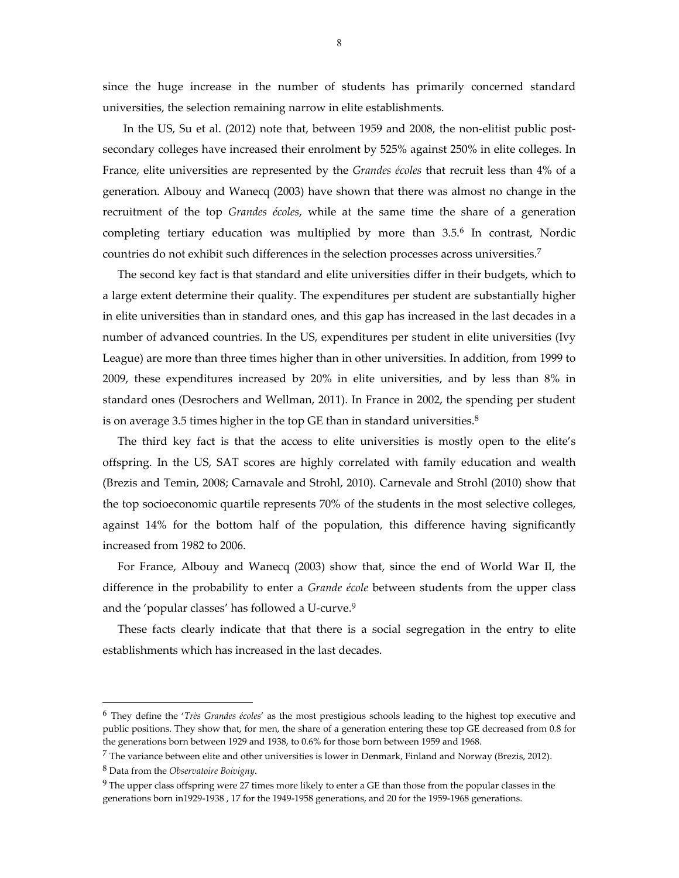since the huge increase in the number of students has primarily concerned standard universities, the selection remaining narrow in elite establishments.

In the US, Su et al. (2012) note that, between 1959 and 2008, the non-elitist public postsecondary colleges have increased their enrolment by 525% against 250% in elite colleges. In France, elite universities are represented by the *Grandes écoles* that recruit less than 4% of a generation. Albouy and Wanecq (2003) have shown that there was almost no change in the recruitment of the top *Grandes écoles*, while at the same time the share of a generation completing tertiary education was multiplied by more than 3.5.6 In contrast, Nordic countries do not exhibit such differences in the selection processes across universities.7

The second key fact is that standard and elite universities differ in their budgets, which to a large extent determine their quality. The expenditures per student are substantially higher in elite universities than in standard ones, and this gap has increased in the last decades in a number of advanced countries. In the US, expenditures per student in elite universities (Ivy League) are more than three times higher than in other universities. In addition, from 1999 to 2009, these expenditures increased by 20% in elite universities, and by less than 8% in standard ones (Desrochers and Wellman, 2011). In France in 2002, the spending per student is on average 3.5 times higher in the top GE than in standard universities.8

The third key fact is that the access to elite universities is mostly open to the elite's offspring. In the US, SAT scores are highly correlated with family education and wealth (Brezis and Temin, 2008; Carnavale and Strohl, 2010). Carnevale and Strohl (2010) show that the top socioeconomic quartile represents 70% of the students in the most selective colleges, against 14% for the bottom half of the population, this difference having significantly increased from 1982 to 2006.

For France, Albouy and Wanecq (2003) show that, since the end of World War II, the difference in the probability to enter a *Grande école* between students from the upper class and the 'popular classes' has followed a U‐curve.9

These facts clearly indicate that that there is a social segregation in the entry to elite establishments which has increased in the last decades.

 $\overline{a}$ 

<sup>6</sup> They define the '*Très Grandes écoles*' as the most prestigious schools leading to the highest top executive and public positions. They show that, for men, the share of a generation entering these top GE decreased from 0.8 for the generations born between 1929 and 1938, to 0.6% for those born between 1959 and 1968.

 $^7$  The variance between elite and other universities is lower in Denmark, Finland and Norway (Brezis, 2012).

<sup>8</sup> Data from the *Observatoire Boivigny*.

<sup>9</sup> The upper class offspring were 27 times more likely to enter a GE than those from the popular classes in the generations born in1929-1938, 17 for the 1949-1958 generations, and 20 for the 1959-1968 generations.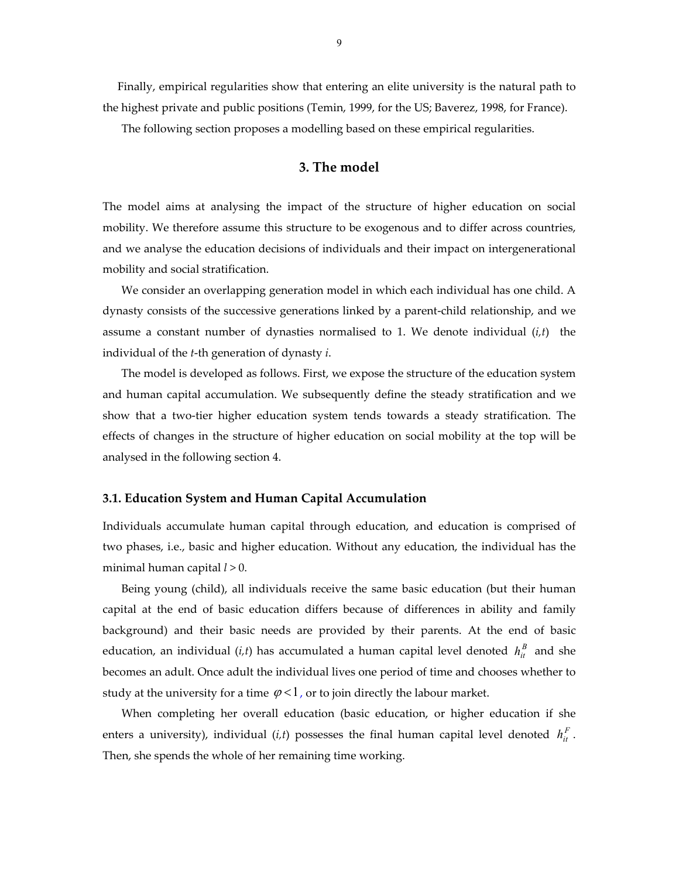Finally, empirical regularities show that entering an elite university is the natural path to the highest private and public positions (Temin, 1999, for the US; Baverez, 1998, for France).

The following section proposes a modelling based on these empirical regularities.

#### **3. The model**

The model aims at analysing the impact of the structure of higher education on social mobility. We therefore assume this structure to be exogenous and to differ across countries, and we analyse the education decisions of individuals and their impact on intergenerational mobility and social stratification.

We consider an overlapping generation model in which each individual has one child. A dynasty consists of the successive generations linked by a parent‐child relationship, and we assume a constant number of dynasties normalised to 1. We denote individual  $(i, t)$  the individual of the *t*‐th generation of dynasty *i*.

The model is developed as follows. First, we expose the structure of the education system and human capital accumulation. We subsequently define the steady stratification and we show that a two-tier higher education system tends towards a steady stratification. The effects of changes in the structure of higher education on social mobility at the top will be analysed in the following section 4.

#### **3.1. Education System and Human Capital Accumulation**

Individuals accumulate human capital through education, and education is comprised of two phases, i.e., basic and higher education. Without any education, the individual has the minimal human capital *l* > 0.

Being young (child), all individuals receive the same basic education (but their human capital at the end of basic education differs because of differences in ability and family background) and their basic needs are provided by their parents. At the end of basic education, an individual (*i,t*) has accumulated a human capital level denoted  $h_{it}^B$  and she becomes an adult. Once adult the individual lives one period of time and chooses whether to study at the university for a time  $\varphi < 1$ , or to join directly the labour market.

When completing her overall education (basic education, or higher education if she enters a university), individual (*i*,*t*) possesses the final human capital level denoted  $h_{it}^F$ . Then, she spends the whole of her remaining time working.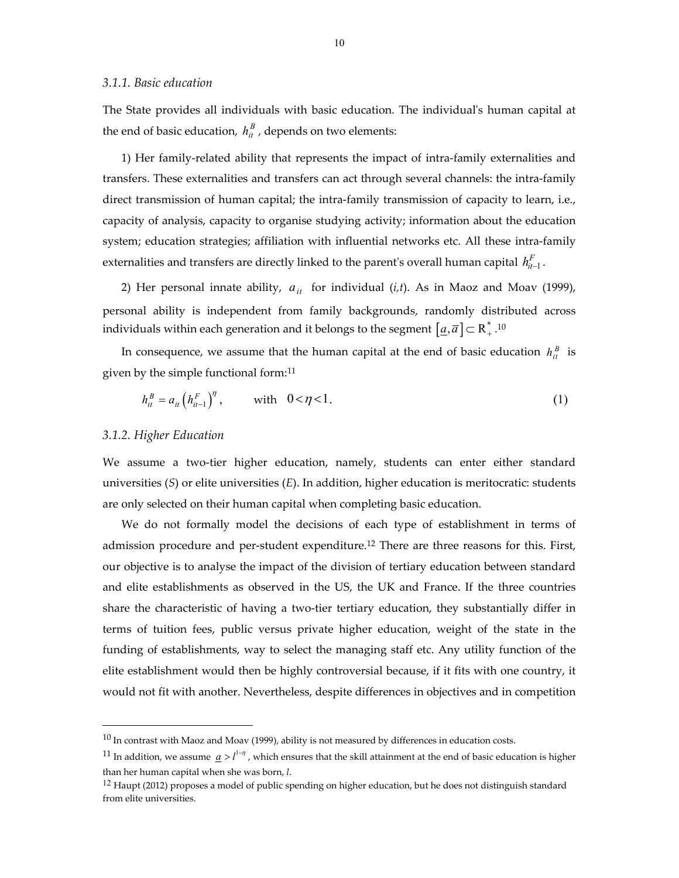#### *3.1.1. Basic education*

The State provides all individuals with basic education. The individualʹs human capital at the end of basic education,  $h_{it}^{B}$  , depends on two elements:

1) Her family‐related ability that represents the impact of intra‐family externalities and transfers. These externalities and transfers can act through several channels: the intra‐family direct transmission of human capital; the intra-family transmission of capacity to learn, i.e., capacity of analysis, capacity to organise studying activity; information about the education system; education strategies; affiliation with influential networks etc. All these intra-family externalities and transfers are directly linked to the parent's overall human capital  $\mathit{h}^F_{it-1}.$ 

2) Her personal innate ability,  $a_{it}$  for individual (*i*,*t*). As in Maoz and Moav (1999), personal ability is independent from family backgrounds, randomly distributed across individuals within each generation and it belongs to the segment  $\left[\underline{a},\overline{a}\right]\subset \text{R}^{*}_{+}.^{10}$ 

In consequence, we assume that the human capital at the end of basic education  $h_{it}^{B}$  is given by the simple functional form:11

$$
h_{it}^B = a_{it} \left( h_{it-1}^F \right)^{\eta}, \qquad \text{with} \quad 0 < \eta < 1. \tag{1}
$$

#### *3.1.2. Higher Education*

 $\overline{\phantom{a}}$ 

We assume a two-tier higher education, namely, students can enter either standard universities (*S*) or elite universities (*E*). In addition, higher education is meritocratic: students are only selected on their human capital when completing basic education.

We do not formally model the decisions of each type of establishment in terms of admission procedure and per-student expenditure.<sup>12</sup> There are three reasons for this. First, our objective is to analyse the impact of the division of tertiary education between standard and elite establishments as observed in the US, the UK and France. If the three countries share the characteristic of having a two-tier tertiary education, they substantially differ in terms of tuition fees, public versus private higher education, weight of the state in the funding of establishments, way to select the managing staff etc. Any utility function of the elite establishment would then be highly controversial because, if it fits with one country, it would not fit with another. Nevertheless, despite differences in objectives and in competition

 $10$  In contrast with Maoz and Moav (1999), ability is not measured by differences in education costs.

<sup>&</sup>lt;sup>11</sup> In addition, we assume  $a > l^{1-\eta}$ , which ensures that the skill attainment at the end of basic education is higher than her human capital when she was born, *l*.

<sup>&</sup>lt;sup>12</sup> Haupt (2012) proposes a model of public spending on higher education, but he does not distinguish standard from elite universities.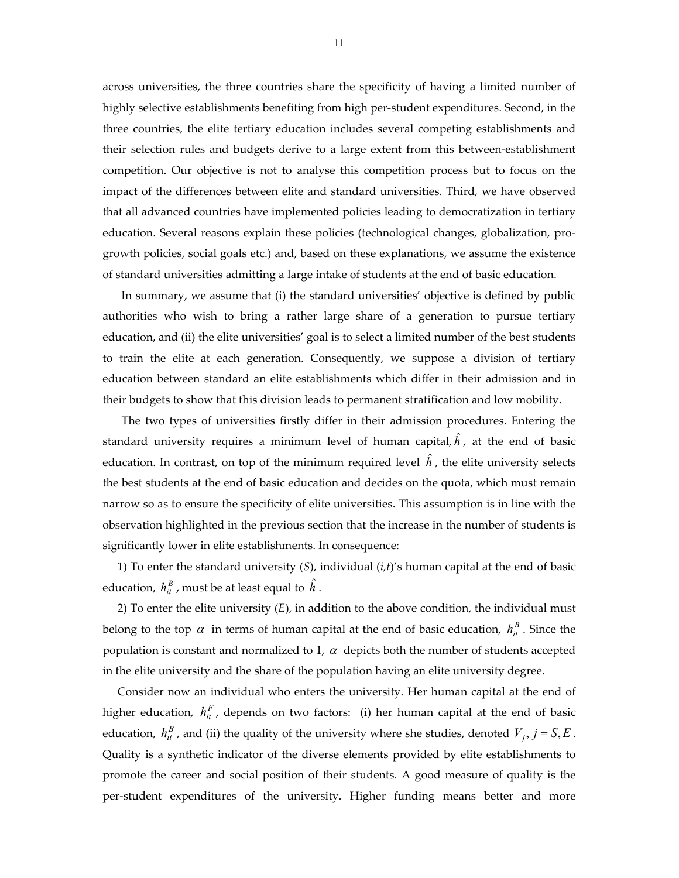across universities, the three countries share the specificity of having a limited number of highly selective establishments benefiting from high per-student expenditures. Second, in the three countries, the elite tertiary education includes several competing establishments and their selection rules and budgets derive to a large extent from this between‐establishment competition. Our objective is not to analyse this competition process but to focus on the impact of the differences between elite and standard universities. Third, we have observed that all advanced countries have implemented policies leading to democratization in tertiary education. Several reasons explain these policies (technological changes, globalization, pro‐ growth policies, social goals etc.) and, based on these explanations, we assume the existence of standard universities admitting a large intake of students at the end of basic education.

In summary, we assume that (i) the standard universities' objective is defined by public authorities who wish to bring a rather large share of a generation to pursue tertiary education, and (ii) the elite universities' goal is to select a limited number of the best students to train the elite at each generation. Consequently, we suppose a division of tertiary education between standard an elite establishments which differ in their admission and in their budgets to show that this division leads to permanent stratification and low mobility.

The two types of universities firstly differ in their admission procedures. Entering the standard university requires a minimum level of human capital, $\hat{h}$ , at the end of basic education. In contrast, on top of the minimum required level  $\hat{h}$  , the elite university selects the best students at the end of basic education and decides on the quota, which must remain narrow so as to ensure the specificity of elite universities. This assumption is in line with the observation highlighted in the previous section that the increase in the number of students is significantly lower in elite establishments. In consequence:

1) To enter the standard university (*S*), individual (*i,t*)'s human capital at the end of basic education,  $\,h^{\,B}_{it}\,$  , must be at least equal to  $\,\hat{h}$  .

2) To enter the elite university (*E*), in addition to the above condition, the individual must belong to the top  $\alpha$  in terms of human capital at the end of basic education,  $h_{it}^{B}$  . Since the population is constant and normalized to 1,  $\alpha$  depicts both the number of students accepted in the elite university and the share of the population having an elite university degree.

Consider now an individual who enters the university. Her human capital at the end of higher education,  $h_{it}^F$ , depends on two factors: (i) her human capital at the end of basic education,  $h_{it}^{B}$ , and (ii) the quality of the university where she studies, denoted  $V_j$ ,  $j = S, E$ . Quality is a synthetic indicator of the diverse elements provided by elite establishments to promote the career and social position of their students. A good measure of quality is the per‐student expenditures of the university. Higher funding means better and more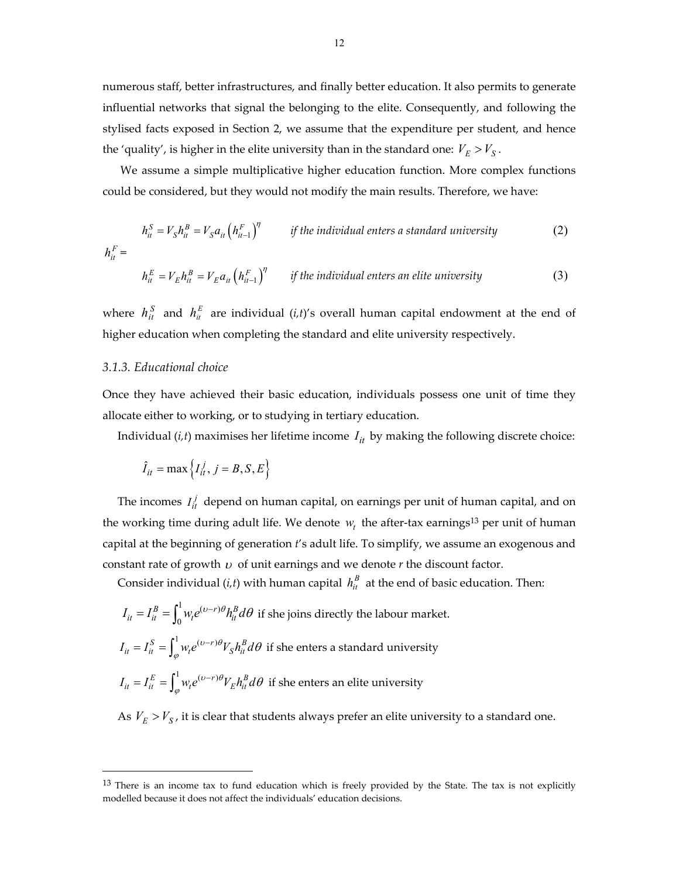numerous staff, better infrastructures, and finally better education. It also permits to generate influential networks that signal the belonging to the elite. Consequently, and following the stylised facts exposed in Section 2, we assume that the expenditure per student, and hence the 'quality', is higher in the elite university than in the standard one:  $V_E > V_S$ .

We assume a simple multiplicative higher education function. More complex functions could be considered, but they would not modify the main results. Therefore, we have:

$$
h_{it}^{S} = V_{S}h_{it}^{B} = V_{S}a_{it} \left(h_{it-1}^{F}\right)^{\eta} \qquad \text{if the individual enters a standard university}
$$
\n
$$
h_{it}^{F} =
$$
\n
$$
(2)
$$

$$
h_{it}^{E} = V_{E}h_{it}^{B} = V_{E}a_{it} \left(h_{it-1}^{F}\right)^{\eta} \qquad \text{if the individual enters an elite university} \tag{3}
$$

where  $h_{it}^{S}$  and  $h_{it}^{E}$  are individual (*i*,*t*)'s overall human capital endowment at the end of higher education when completing the standard and elite university respectively.

#### *3.1.3. Educational choice*

 $\overline{a}$ 

Once they have achieved their basic education, individuals possess one unit of time they allocate either to working, or to studying in tertiary education.

Individual  $(i, t)$  maximises her lifetime income  $I_{it}$  by making the following discrete choice:

$$
\hat{I}_{it} = \max\left\{I_{it}^j, j = B, S, E\right\}
$$

The incomes  $I_{it}^j$  depend on human capital, on earnings per unit of human capital, and on the working time during adult life. We denote  $w_t$  the after-tax earnings<sup>13</sup> per unit of human capital at the beginning of generation *t*'s adult life. To simplify, we assume an exogenous and constant rate of growth  $U$  of unit earnings and we denote  $r$  the discount factor.

Consider individual  $(i, t)$  with human capital  $h_{it}^B$  at the end of basic education. Then:

$$
I_{it} = I_{it}^{B} = \int_{0}^{1} w_{t} e^{(\nu - r)\theta} h_{it}^{B} d\theta
$$
 if she joins directly the labour market.  

$$
I_{it} = I_{it}^{S} = \int_{\varphi}^{1} w_{t} e^{(\nu - r)\theta} V_{S} h_{it}^{B} d\theta
$$
 if she enters a standard university  

$$
I_{it} = I_{it}^{E} = \int_{\varphi}^{1} w_{t} e^{(\nu - r)\theta} V_{E} h_{it}^{B} d\theta
$$
 if she enters an elite university

As  $V_E > V_S$ , it is clear that students always prefer an elite university to a standard one.

<sup>&</sup>lt;sup>13</sup> There is an income tax to fund education which is freely provided by the State. The tax is not explicitly modelled because it does not affect the individuals' education decisions.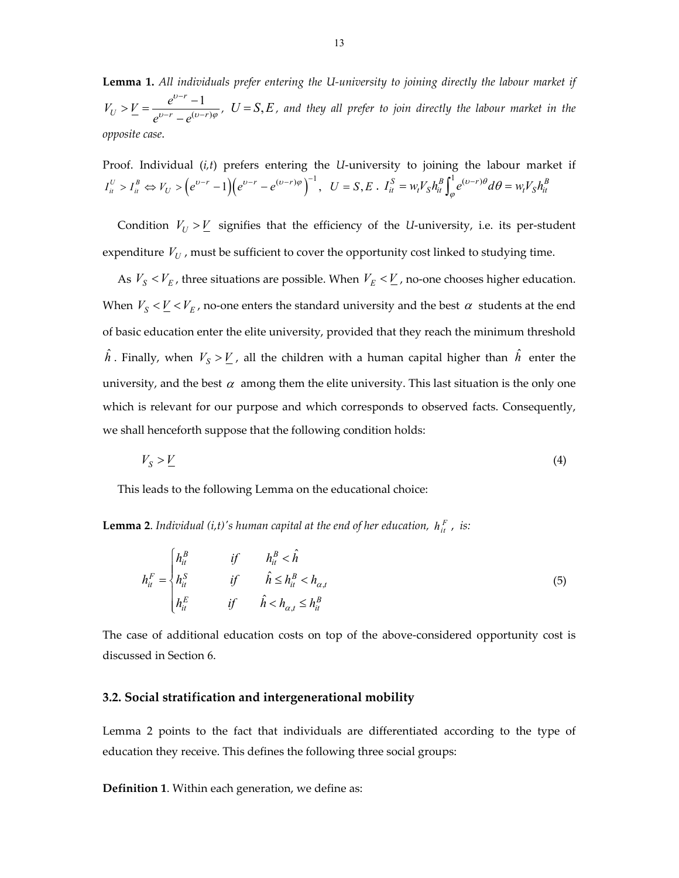**Lemma 1.** *All individuals prefer entering the U‐university to joining directly the labour market if*  $(v-r)$  $r - 1$  $V_U > V = \frac{e^{v-r} - 1}{e^{v-r} - e^{(v-r)}}$  $e^{v-r}-e$  $\boldsymbol{\eta}$  $\omega-r$   $_{\alpha}(v-r)\varphi$  $\overline{a}$  $\frac{d}{dx} \sum E = \frac{e^{b-r} - 1}{e^{b-r} - e^{(b-r)\varphi}}$ ,  $U = S, E$ , and they all prefer to join directly the labour market in the *opposite case*.

Proof. Individual (*i*,*t*) prefers entering the *U*-university to joining the labour market if  $I_{it}^U > I_{it}^B \Leftrightarrow V_U > (e^{v-r}-1)(e^{v-r}-e^{(v-r)\varphi})^{-1}, \ \ U = S, E \cdot I_{it}^S = w_t V_S h_{it}^B \int_{\varphi}^1 e^{(v-r)\vartheta} d\theta = w_t V_S h_{it}^B$ 

Condition  $V_U > \underline{V}$  signifies that the efficiency of the *U*-university, i.e. its per-student expenditure  $V_U$ , must be sufficient to cover the opportunity cost linked to studying time.

As  $V_s < V_E$ , three situations are possible. When  $V_E < V_L$ , no-one chooses higher education. When  $V_S < \underline{V} < V_E$ , no-one enters the standard university and the best  $\alpha$  students at the end of basic education enter the elite university, provided that they reach the minimum threshold  $\hat{h}$  . Finally, when  $V_S > \underline{V}$  , all the children with a human capital higher than  $\hat{h}$  enter the university, and the best  $\alpha$  among them the elite university. This last situation is the only one which is relevant for our purpose and which corresponds to observed facts. Consequently, we shall henceforth suppose that the following condition holds:

$$
V_S > \underline{V} \tag{4}
$$

This leads to the following Lemma on the educational choice:

**Lemma 2.** Individual (i,t)'s human capital at the end of her education,  $h_{it}^F$  , is:

$$
h_{it}^{F} = \begin{cases} h_{it}^{B} & \text{if} & h_{it}^{B} < \hat{h} \\ h_{it}^{S} & \text{if} & \hat{h} \le h_{it}^{B} < h_{\alpha,t} \\ h_{it}^{E} & \text{if} & \hat{h} < h_{\alpha,t} \le h_{it}^{B} \end{cases}
$$
(5)

The case of additional education costs on top of the above-considered opportunity cost is discussed in Section 6.

#### **3.2. Social stratification and intergenerational mobility**

Lemma 2 points to the fact that individuals are differentiated according to the type of education they receive. This defines the following three social groups:

**Definition 1**. Within each generation, we define as: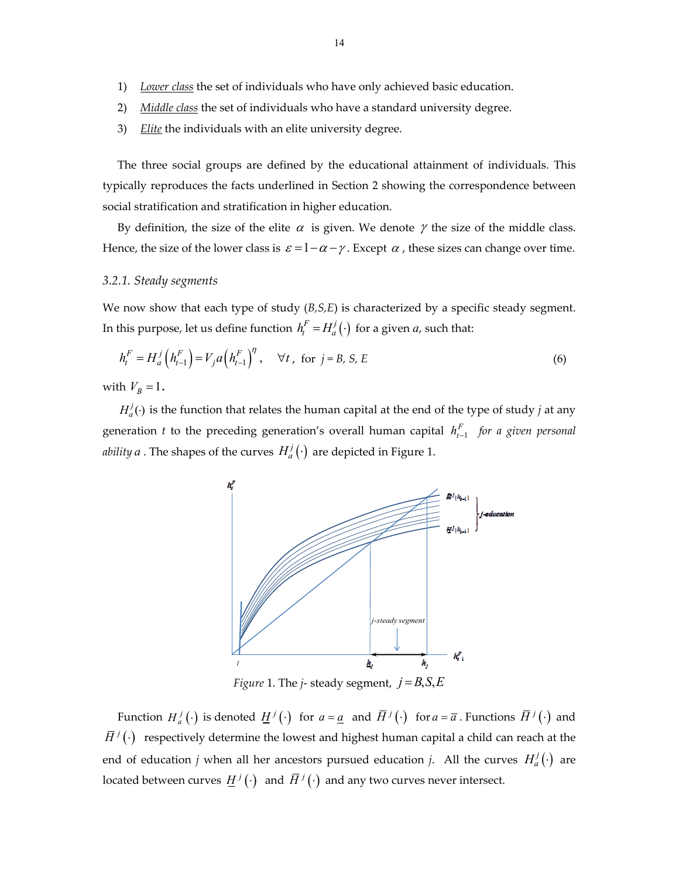- 1) *Lower class* the set of individuals who have only achieved basic education.
- 2) *Middle class* the set of individuals who have a standard university degree.
- 3) *Elite* the individuals with an elite university degree.

The three social groups are defined by the educational attainment of individuals. This typically reproduces the facts underlined in Section 2 showing the correspondence between social stratification and stratification in higher education.

By definition, the size of the elite  $\alpha$  is given. We denote  $\gamma$  the size of the middle class. Hence, the size of the lower class is  $\varepsilon = 1 - \alpha - \gamma$ . Except  $\alpha$ , these sizes can change over time.

#### *3.2.1. Steady segments*

We now show that each type of study (*B*,*S*,*E*) is characterized by a specific steady segment. In this purpose, let us define function  $h_t^F = H_a^j(\cdot)$  for a given  $a$ , such that:

$$
h_t^F = H_a^j \left( h_{t-1}^F \right) = V_j a \left( h_{t-1}^F \right)^{\eta}, \quad \forall t \,, \text{ for } j = B, S, E
$$
 (6)

with  $V_B = 1$ .

 $H_a^j(\cdot)$  is the function that relates the human capital at the end of the type of study *j* at any generation *t* to the preceding generation's overall human capital  $h_{t-1}^F$  *for a given personal ability a* . The shapes of the curves  $H_a^j(\cdot)$  are depicted in Figure 1.



*Figure* 1. The *j*-steady segment,  $j = B, S, E$ 

Function  $H_a^j(\cdot)$  is denoted  $\underline{H}^j(\cdot)$  for  $a = \underline{a}$  and  $\overline{H}^j(\cdot)$  for  $a = \overline{a}$ . Functions  $\overline{H}^j(\cdot)$  and  $\bar{H}^j(\cdot)$  respectively determine the lowest and highest human capital a child can reach at the end of education *j* when all her ancestors pursued education *j*. All the curves  $H_a^j(\cdot)$  are located between curves  $\underline{H}^{j}(\cdot)$  and  $\overline{H}^{j}(\cdot)$  and any two curves never intersect.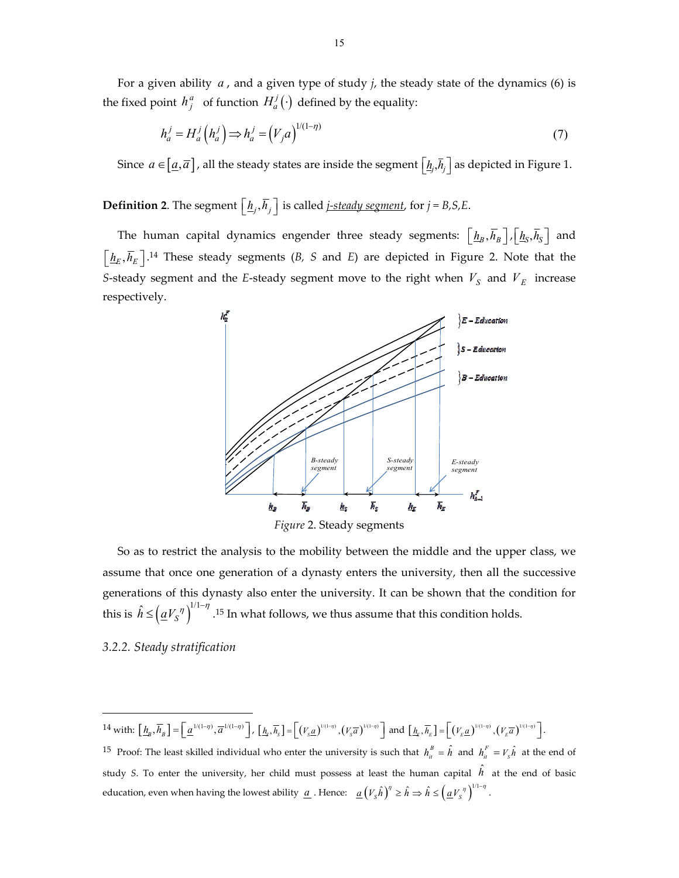For a given ability *a* , and a given type of study *j*, the steady state of the dynamics (6) is the fixed point  $h^a_j$  of function  $H^j_a(\cdot)$  defined by the equality:

$$
h_a^j = H_a^j \left( h_a^j \right) \Longrightarrow h_a^j = \left( V_j a \right)^{1/(1-\eta)} \tag{7}
$$

Since  $a \in [a, \overline{a}]$  , all the steady states are inside the segment  $\left[ \underline{h}_j, \overline{h}_j \right]$  as depicted in Figure 1.

**Definition 2**. The segment  $\left[\underline{h}_j, \overline{h}_j\right]$  is called *j–steady segment*, for *j* = *B*,*S*,*E*.

The human capital dynamics engender three steady segments:  $\left[\underline{h}_B, \overline{h}_B\right], \left[\underline{h}_S, \overline{h}_S\right]$  and  $\left[ \frac{h_E}{h_E} \right]$ .<sup>14</sup> These steady segments (*B, S* and *E*) are depicted in Figure 2. Note that the *S*-steady segment and the *E*-steady segment move to the right when  $V_S$  and  $V_E$  increase respectively.



So as to restrict the analysis to the mobility between the middle and the upper class, we assume that once one generation of a dynasty enters the university, then all the successive generations of this dynasty also enter the university. It can be shown that the condition for this is  $\hat{h} \leq (\underline{a}V_S^{\eta})^{1/1-\eta}$ .<sup>15</sup> In what follows, we thus assume that this condition holds.

*3.2.2. Steady stratification*

 $\overline{a}$ 

14 with:  $\left[\underline{h}_B, \overline{h}_B\right] = \left[\underline{a}^{1/(1-\eta)}, \overline{a}^{1/(1-\eta)}\right], \left[\underline{h}_s, \overline{h}_s\right] = \left[\left(V_s \underline{a}\right)^{1/(1-\eta)}, \left(V_s \overline{a}\right)^{1/(1-\eta)}\right]$  and  $\left[\underline{h}_e, \overline{h}_E\right] = \left[\left(V_E \underline{a}\right)^{1/(1-\eta)}, \left(V_E \overline{a}\right)^{1/(1-\eta)}\right]$ . <sup>15</sup> Proof: The least skilled individual who enter the university is such that  $h_{it}^B = \hat{h}$  and  $h_{it}^F = V_s \hat{h}$  at the end of study *S*. To enter the university, her child must possess at least the human capital  $\hat{h}$  at the end of basic education, even when having the lowest ability  $\underline{a}$  . Hence:  $\underline{a}\left(V_{S}\hat{h}\right)^{\eta} \geq \hat{h} \Rightarrow \hat{h} \leq \left(\underline{a}V_{S}^{\eta}\right)^{1/1-\eta}$ .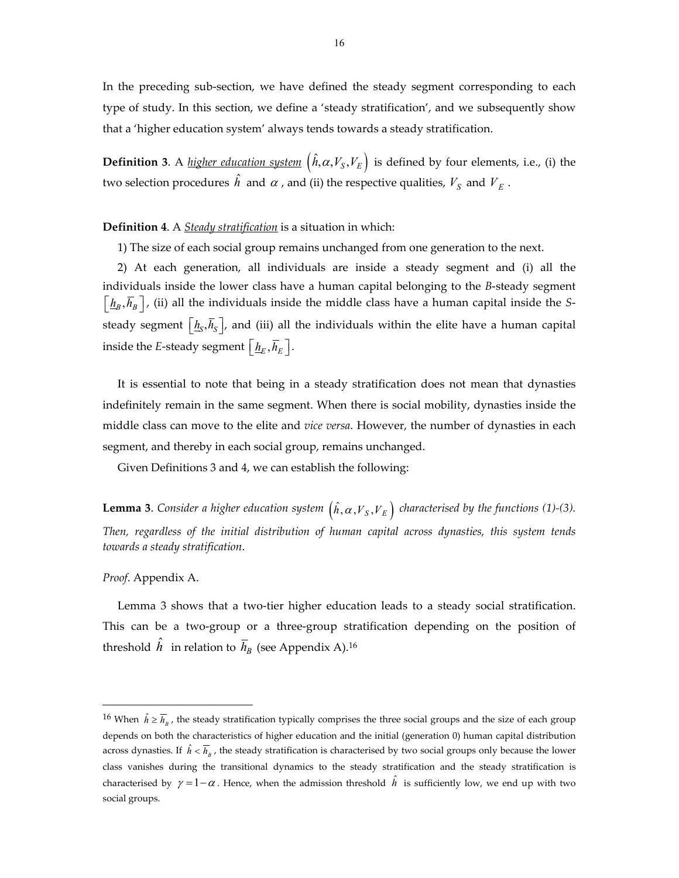In the preceding sub‐section, we have defined the steady segment corresponding to each type of study. In this section, we define a 'steady stratification', and we subsequently show that a 'higher education system' always tends towards a steady stratification.

**Definition** 3. A *higher education system*  $(\hat{h}, \alpha, V_s, V_E)$  is defined by four elements, i.e., (i) the two selection procedures  $\hat{h}$  and  $\alpha$  , and (ii) the respective qualities,  $V_S$  and  $V_E$  .

#### **Definition 4**. A *Steady stratification* is a situation in which:

1) The size of each social group remains unchanged from one generation to the next.

2) At each generation, all individuals are inside a steady segment and (i) all the individuals inside the lower class have a human capital belonging to the *B*‐steady segment  $\left(\frac{h_B}{h_B}, \overline{h}_B\right)$ , (ii) all the individuals inside the middle class have a human capital inside the *S*steady segment  $\left[\underline{h}_{S}, \overline{h}_{S}\right]$ , and (iii) all the individuals within the elite have a human capital inside the *E*-steady segment  $\left[\underline{h}_E, \overline{h}_E\right]$ .

It is essential to note that being in a steady stratification does not mean that dynasties indefinitely remain in the same segment. When there is social mobility, dynasties inside the middle class can move to the elite and *vice versa*. However, the number of dynasties in each segment, and thereby in each social group, remains unchanged.

Given Definitions 3 and 4, we can establish the following:

**Lemma 3.** *Consider a higher education system*  $(\hat{h}, \alpha, V_S, V_E)$  *characterised by the functions* (1)-(3). *Then, regardless of the initial distribution of human capital across dynasties, this system tends towards a steady stratification*.

#### *Proof*. Appendix A.

 $\overline{a}$ 

Lemma 3 shows that a two-tier higher education leads to a steady social stratification. This can be a two‐group or a three‐group stratification depending on the position of threshold  $\hat{h}$  in relation to  $\bar{h}_B$  (see Appendix A).<sup>16</sup>

<sup>&</sup>lt;sup>16</sup> When  $\hat{h} \ge \overline{h}_n$ , the steady stratification typically comprises the three social groups and the size of each group depends on both the characteristics of higher education and the initial (generation 0) human capital distribution across dynasties. If  $\hat{h} < \overline{h}_n$ , the steady stratification is characterised by two social groups only because the lower class vanishes during the transitional dynamics to the steady stratification and the steady stratification is characterised by  $\gamma = 1 - \alpha$ . Hence, when the admission threshold  $\hat{h}$  is sufficiently low, we end up with two social groups.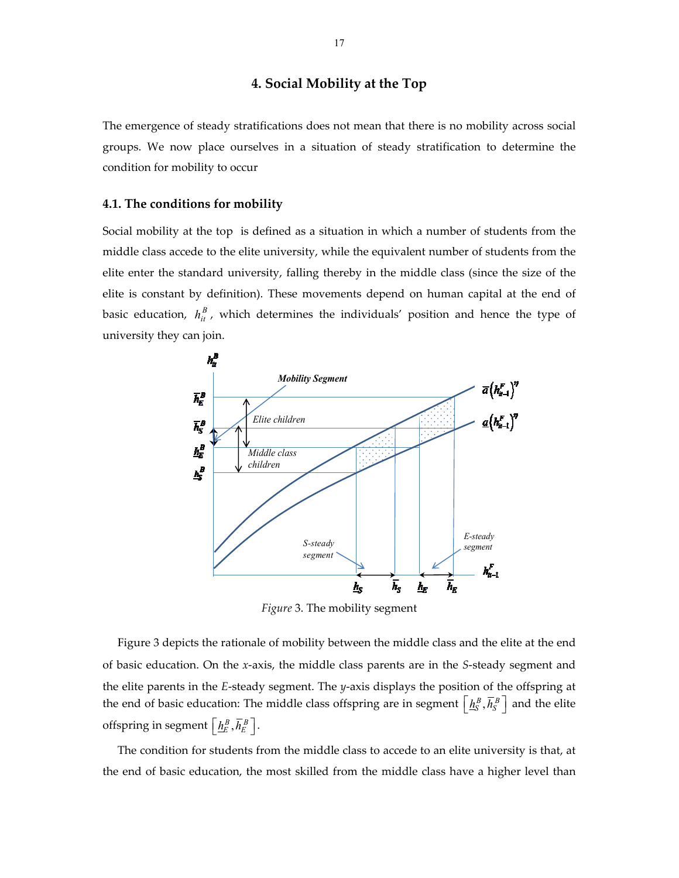#### **4. Social Mobility at the Top**

The emergence of steady stratifications does not mean that there is no mobility across social groups. We now place ourselves in a situation of steady stratification to determine the condition for mobility to occur

#### **4.1. The conditions for mobility**

Social mobility at the top is defined as a situation in which a number of students from the middle class accede to the elite university, while the equivalent number of students from the elite enter the standard university, falling thereby in the middle class (since the size of the elite is constant by definition). These movements depend on human capital at the end of basic education,  $h_{it}^{B}$  , which determines the individuals' position and hence the type of university they can join.



*Figure* 3. The mobility segment

Figure 3 depicts the rationale of mobility between the middle class and the elite at the end of basic education. On the *x*‐axis, the middle class parents are in the *S*‐steady segment and the elite parents in the *E*‐steady segment. The *y*‐axis displays the position of the offspring at the end of basic education: The middle class offspring are in segment  $\left[\underline{h}_{S}^{B}, \overline{h}_{S}^{B}\right]$  and the elite offspring in segment  $\left[ \frac{h^B_E}{\bar{h}^B_E} \right]$ .

The condition for students from the middle class to accede to an elite university is that, at the end of basic education, the most skilled from the middle class have a higher level than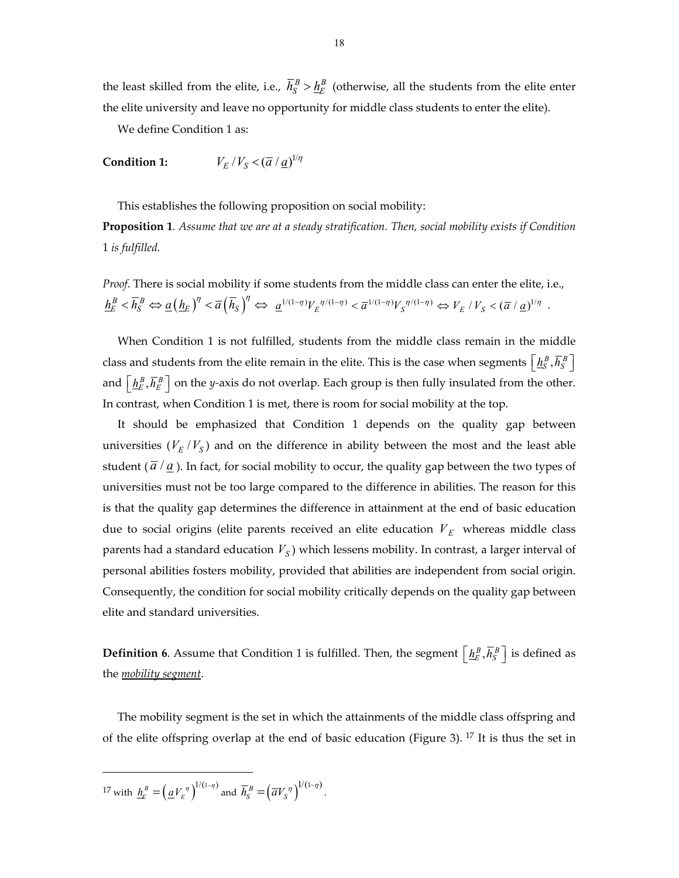the least skilled from the elite, i.e.,  $\bar{h}^B_S > \underline{h}^B_E$  (otherwise, all the students from the elite enter the elite university and leave no opportunity for middle class students to enter the elite).

We define Condition 1 as:

**Condition 1:**  $V_E / V_S < (\overline{a} / \underline{a})^{1/\eta}$ 

This establishes the following proposition on social mobility:

**Proposition 1***. Assume that we are at a steady stratification. Then, social mobility exists if Condition* 1 *is fulfilled.*

*Proof*. There is social mobility if some students from the middle class can enter the elite, i.e.,  $\frac{h^B_E}{h^E_E} <\overline{h}^B_S \Leftrightarrow \underline{a}\left(\underline{h}_E\right)^{\eta} <\overline{a}\left(\overline{h}_S\right)^{\eta} \Leftrightarrow \ \underline{a}^{1/(1-\eta)} V_E^{-\eta/(1-\eta)} <\overline{a}^{1/(1-\eta)} V_S^{-\eta/(1-\eta)} \Leftrightarrow V_E \text{ / } V_S <\left(\overline{a} \text{ / } \underline{a}\right)^{1/\eta} \text{ .}$ 

When Condition 1 is not fulfilled, students from the middle class remain in the middle class and students from the elite remain in the elite. This is the case when segments  $\left[\frac{h_S^B}{N_S},\overline{h}_S^B\right]$ and  $\left[\frac{h^B_E}{h^B_E}, \overline{h}^B_E\right]$  on the *y*-axis do not overlap. Each group is then fully insulated from the other. In contrast, when Condition 1 is met, there is room for social mobility at the top.

It should be emphasized that Condition 1 depends on the quality gap between universities  $(V_E / V_S)$  and on the difference in ability between the most and the least able student  $(\bar{a}/a)$ . In fact, for social mobility to occur, the quality gap between the two types of universities must not be too large compared to the difference in abilities. The reason for this is that the quality gap determines the difference in attainment at the end of basic education due to social origins (elite parents received an elite education  $V<sub>E</sub>$  whereas middle class parents had a standard education  $V_S$ ) which lessens mobility. In contrast, a larger interval of personal abilities fosters mobility, provided that abilities are independent from social origin. Consequently, the condition for social mobility critically depends on the quality gap between elite and standard universities.

**Definition 6**. Assume that Condition 1 is fulfilled. Then, the segment  $\left[\underline{h}_E^B, \overline{h}_S^B\right]$  is defined as the *mobility segment*.

The mobility segment is the set in which the attainments of the middle class offspring and of the elite offspring overlap at the end of basic education (Figure 3). <sup>17</sup> It is thus the set in

<sup>17</sup> with  $\underline{h}_E^B = \left(\underline{a}V_E^{\eta}\right)^{1/(1-\eta)}$  and  $\overline{h}_S^B = \left(\overline{a}V_S^{\eta}\right)^{1/(1-\eta)}$ .

 $\overline{a}$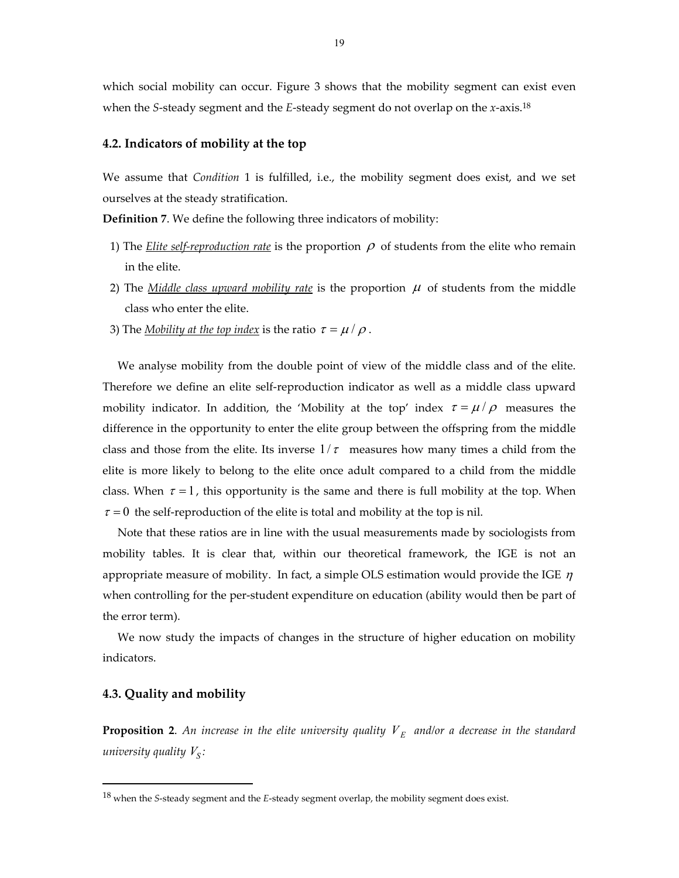which social mobility can occur. Figure 3 shows that the mobility segment can exist even when the *S*‐steady segment and the *E*‐steady segment do not overlap on the *x*‐axis.18

#### **4.2. Indicators of mobility at the top**

We assume that *Condition* 1 is fulfilled, i.e., the mobility segment does exist, and we set ourselves at the steady stratification.

**Definition 7**. We define the following three indicators of mobility:

- 1) The *Elite self-reproduction rate* is the proportion  $\rho$  of students from the elite who remain in the elite.
- 2) The *Middle class upward mobility rate* is the proportion  $\mu$  of students from the middle class who enter the elite.
- 3) The <u>Mobility at the top index</u> is the ratio  $\tau = \mu / \rho$ .

We analyse mobility from the double point of view of the middle class and of the elite. Therefore we define an elite self-reproduction indicator as well as a middle class upward mobility indicator. In addition, the 'Mobility at the top' index  $\tau = \mu / \rho$  measures the difference in the opportunity to enter the elite group between the offspring from the middle class and those from the elite. Its inverse  $1/\tau$  measures how many times a child from the elite is more likely to belong to the elite once adult compared to a child from the middle class. When  $\tau = 1$ , this opportunity is the same and there is full mobility at the top. When  $\tau = 0$  the self-reproduction of the elite is total and mobility at the top is nil.

Note that these ratios are in line with the usual measurements made by sociologists from mobility tables. It is clear that, within our theoretical framework, the IGE is not an appropriate measure of mobility. In fact, a simple OLS estimation would provide the IGE  $\eta$ when controlling for the per-student expenditure on education (ability would then be part of the error term).

We now study the impacts of changes in the structure of higher education on mobility indicators.

#### **4.3. Quality and mobility**

 $\overline{a}$ 

**Proposition 2.** An increase in the elite university quality  $V<sub>E</sub>$  and/or a decrease in the standard *university* quality  $V_s$ :

<sup>18</sup> when the *S*‐steady segment and the *E*‐steady segment overlap, the mobility segment does exist.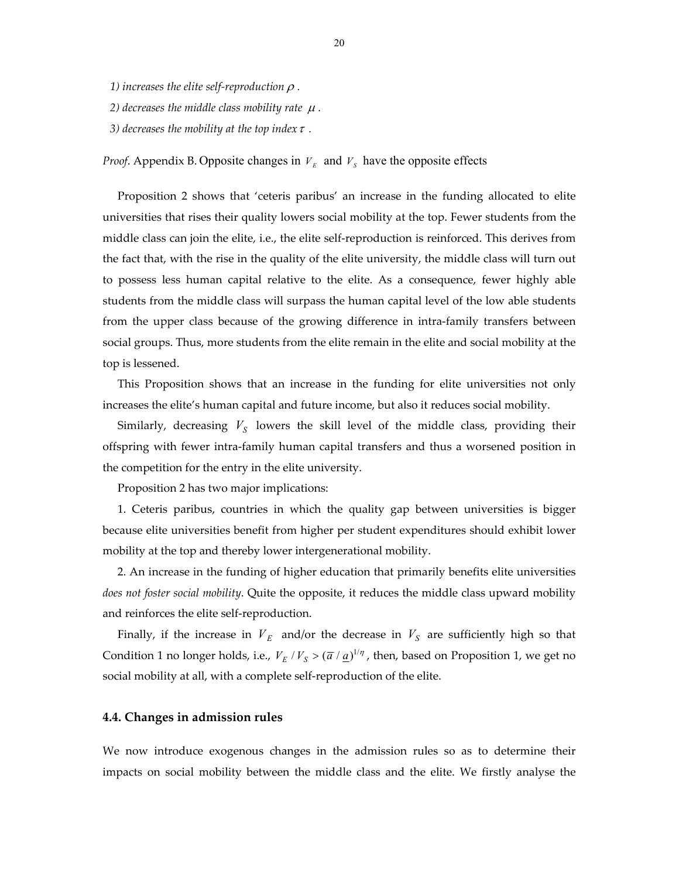*1)* increases the elite self-reproduction  $\rho$ .

*2)* decreases the middle class mobility rate  $\mu$ .

*3)* decreases the mobility at the top index  $\tau$ .

*Proof.* Appendix B. Opposite changes in  $V<sub>E</sub>$  and  $V<sub>S</sub>$  have the opposite effects

Proposition 2 shows that 'ceteris paribus' an increase in the funding allocated to elite universities that rises their quality lowers social mobility at the top. Fewer students from the middle class can join the elite, i.e., the elite self‐reproduction is reinforced. This derives from the fact that, with the rise in the quality of the elite university, the middle class will turn out to possess less human capital relative to the elite. As a consequence, fewer highly able students from the middle class will surpass the human capital level of the low able students from the upper class because of the growing difference in intra-family transfers between social groups. Thus, more students from the elite remain in the elite and social mobility at the top is lessened.

This Proposition shows that an increase in the funding for elite universities not only increases the elite's human capital and future income, but also it reduces social mobility.

Similarly, decreasing  $V_S$  lowers the skill level of the middle class, providing their offspring with fewer intra‐family human capital transfers and thus a worsened position in the competition for the entry in the elite university.

Proposition 2 has two major implications:

1. Ceteris paribus, countries in which the quality gap between universities is bigger because elite universities benefit from higher per student expenditures should exhibit lower mobility at the top and thereby lower intergenerational mobility.

2. An increase in the funding of higher education that primarily benefits elite universities *does not foster social mobility*. Quite the opposite, it reduces the middle class upward mobility and reinforces the elite self‐reproduction.

Finally, if the increase in  $V_E$  and/or the decrease in  $V_S$  are sufficiently high so that Condition 1 no longer holds, i.e.,  $V_E / V_S > (\overline{a} / \underline{a})^{1/\eta}$ , then, based on Proposition 1, we get no social mobility at all, with a complete self‐reproduction of the elite.

#### **4.4. Changes in admission rules**

We now introduce exogenous changes in the admission rules so as to determine their impacts on social mobility between the middle class and the elite. We firstly analyse the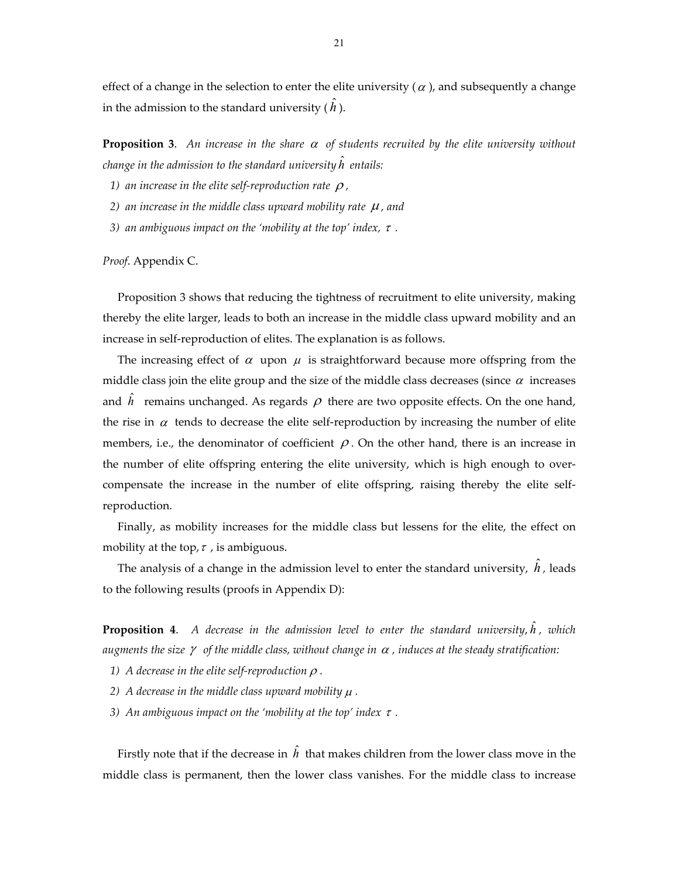effect of a change in the selection to enter the elite university ( $\alpha$ ), and subsequently a change in the admission to the standard university (  $\hat{h}$  ).

**Proposition** 3. An increase in the share  $\alpha$  of students recruited by the elite university without  $\alpha$  *change in the admission to the standard university*  $\hat{h}$  *entails:* 

- *1)* an increase in the elite self-reproduction rate  $\rho$ ,
- *2)* an increase in the middle class upward mobility rate  $\mu$ , and
- *3)* an ambiguous impact on the 'mobility at the top' index,  $\tau$ .

*Proof*. Appendix C.

Proposition 3 shows that reducing the tightness of recruitment to elite university, making thereby the elite larger, leads to both an increase in the middle class upward mobility and an increase in self‐reproduction of elites. The explanation is as follows.

The increasing effect of  $\alpha$  upon  $\mu$  is straightforward because more offspring from the middle class join the elite group and the size of the middle class decreases (since  $\alpha$  increases and  $\hat{h}$  remains unchanged. As regards  $\rho$  there are two opposite effects. On the one hand, the rise in  $\alpha$  tends to decrease the elite self-reproduction by increasing the number of elite members, i.e., the denominator of coefficient  $\rho$ . On the other hand, there is an increase in the number of elite offspring entering the elite university, which is high enough to over‐ compensate the increase in the number of elite offspring, raising thereby the elite self‐ reproduction.

Finally, as mobility increases for the middle class but lessens for the elite, the effect on mobility at the top,  $\tau$ , is ambiguous.

The analysis of a change in the admission level to enter the standard university,  $\hat{h}$  , leads to the following results (proofs in Appendix D):

**Proposition <sup>4</sup>**. *<sup>A</sup> decrease in the admission level to enter the standard university*, ˆ *h , which augments* the size  $\gamma$  of the middle class, without change in  $\alpha$ , induces at the steady stratification:

- *1) A* decrease in the elite self-reproduction  $\rho$ .
- *2)* A decrease in the middle class upward mobility  $\mu$ .
- *3)* An ambiguous impact on the 'mobility at the top' index  $\tau$ .

Firstly note that if the decrease in  $\hat{h}$  that makes children from the lower class move in the middle class is permanent, then the lower class vanishes. For the middle class to increase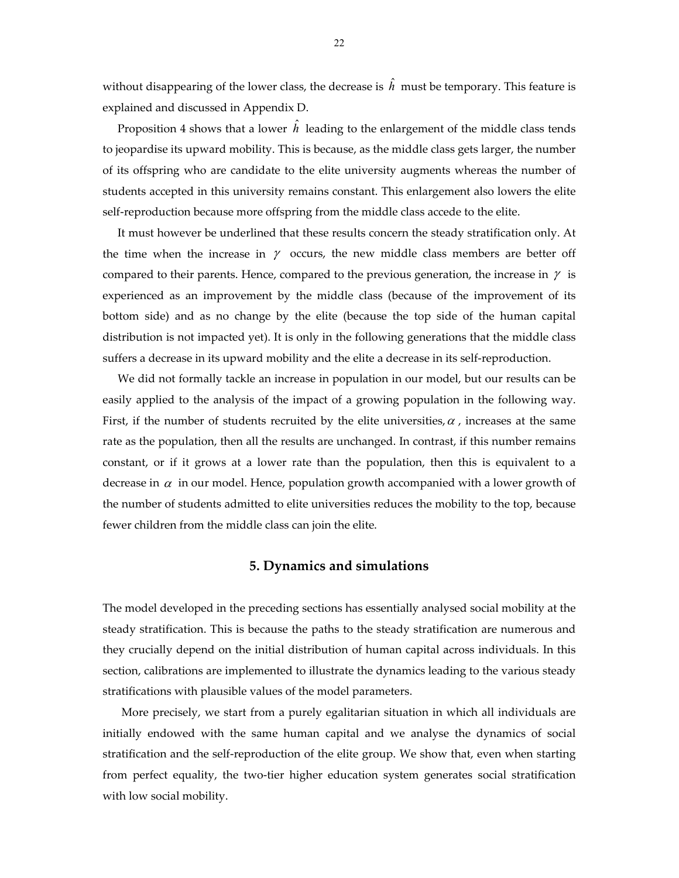without disappearing of the lower class, the decrease is  $\hat{h}\,$  must be temporary. This feature is explained and discussed in Appendix D.

Proposition 4 shows that a lower  $\hat{h}$  leading to the enlargement of the middle class tends to jeopardise its upward mobility. This is because, as the middle class gets larger, the number of its offspring who are candidate to the elite university augments whereas the number of students accepted in this university remains constant. This enlargement also lowers the elite self-reproduction because more offspring from the middle class accede to the elite.

It must however be underlined that these results concern the steady stratification only. At the time when the increase in  $\gamma$  occurs, the new middle class members are better off compared to their parents. Hence, compared to the previous generation, the increase in  $\gamma$  is experienced as an improvement by the middle class (because of the improvement of its bottom side) and as no change by the elite (because the top side of the human capital distribution is not impacted yet). It is only in the following generations that the middle class suffers a decrease in its upward mobility and the elite a decrease in its self‐reproduction.

We did not formally tackle an increase in population in our model, but our results can be easily applied to the analysis of the impact of a growing population in the following way. First, if the number of students recruited by the elite universities,  $\alpha$ , increases at the same rate as the population, then all the results are unchanged. In contrast, if this number remains constant, or if it grows at a lower rate than the population, then this is equivalent to a decrease in  $\alpha$  in our model. Hence, population growth accompanied with a lower growth of the number of students admitted to elite universities reduces the mobility to the top, because fewer children from the middle class can join the elite.

#### **5. Dynamics and simulations**

The model developed in the preceding sections has essentially analysed social mobility at the steady stratification. This is because the paths to the steady stratification are numerous and they crucially depend on the initial distribution of human capital across individuals. In this section, calibrations are implemented to illustrate the dynamics leading to the various steady stratifications with plausible values of the model parameters.

More precisely, we start from a purely egalitarian situation in which all individuals are initially endowed with the same human capital and we analyse the dynamics of social stratification and the self-reproduction of the elite group. We show that, even when starting from perfect equality, the two-tier higher education system generates social stratification with low social mobility.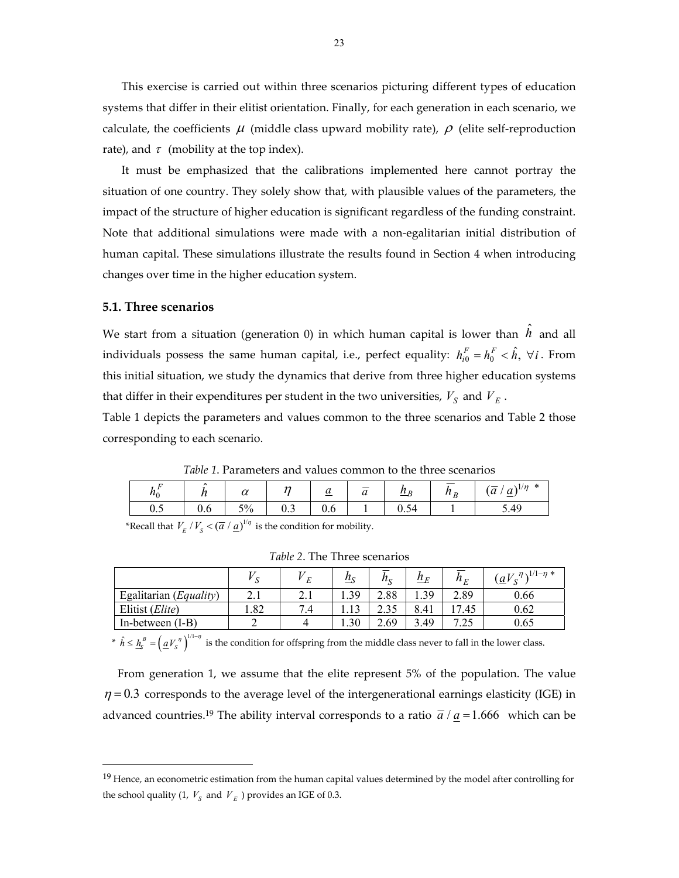This exercise is carried out within three scenarios picturing different types of education systems that differ in their elitist orientation. Finally, for each generation in each scenario, we calculate, the coefficients  $\mu$  (middle class upward mobility rate),  $\rho$  (elite self-reproduction rate), and  $\tau$  (mobility at the top index).

It must be emphasized that the calibrations implemented here cannot portray the situation of one country. They solely show that, with plausible values of the parameters, the impact of the structure of higher education is significant regardless of the funding constraint. Note that additional simulations were made with a non‐egalitarian initial distribution of human capital. These simulations illustrate the results found in Section 4 when introducing changes over time in the higher education system.

#### **5.1. Three scenarios**

 $\overline{a}$ 

We start from a situation (generation 0) in which human capital is lower than  $\hat{h}$  and all individuals possess the same human capital, i.e., perfect equality:  $h^{F}_{i0} = h^{F}_{0} < \hat{h}, \ \forall i$ . From this initial situation, we study the dynamics that derive from three higher education systems that differ in their expenditures per student in the two universities,  $V_S$  and  $V_E$ .

Table 1 depicts the parameters and values common to the three scenarios and Table 2 those corresponding to each scenario.

*Table 1*. Parameters and values common to the three scenarios

| $\mu_0$ |          | $\sim$<br>u                    | $\sim$                          | $\overline{u}$ | —<br>$\sim$<br>u | $\mu_{p}$  | D<br>.<br>╜ | $^{\ast}$<br>$\sqrt{1/n}$<br>$\sim$<br>a<br>$\boldsymbol{\mathcal{U}}$<br>$\overline{\phantom{0}}$ |
|---------|----------|--------------------------------|---------------------------------|----------------|------------------|------------|-------------|----------------------------------------------------------------------------------------------------|
| ∪.ປ     | n<br>v.v | $\sim$ $\sim$<br>$\frac{1}{2}$ | $\overline{\phantom{a}}$<br>∪.⊃ | U.O            |                  | $\cdots$ . |             | 5.49                                                                                               |

\*Recall that  $V_E / V_S < (\overline{a} / \underline{a})^{1/\eta}$  is the condition for mobility.

|                          |      | F             | $\underline{h}_{S}$ | $n_{\rm s}$ | $\underline{h}_E$ | $h_E^{}$ | $( \underline{a} V_s^{\eta} )^{1/1-\eta}$ * |
|--------------------------|------|---------------|---------------------|-------------|-------------------|----------|---------------------------------------------|
| Egalitarian $(Equality)$ | 4.1  | 4.1           | 1.39                | 2.88        | 1.39              | 2.89     | 0.66                                        |
| Elitist (Elite)          | 1.82 | $^{\prime}.4$ | 1.13                |             | 8.41              | 7.45     | 0.62                                        |
| In-between $(I-B)$       |      |               | 0.30                | 2.69        | 3.49              | 7.25     | 0.65                                        |

*Table 2*. The Three scenarios

\*  $\hat{h} \leq \underline{h}_{s}^{B} = (\underline{a}V_{s}^{n})^{1/1-\eta}$  is the condition for offspring from the middle class never to fall in the lower class.

From generation 1, we assume that the elite represent 5% of the population. The value  $\eta$  = 0.3 corresponds to the average level of the intergenerational earnings elasticity (IGE) in advanced countries.<sup>19</sup> The ability interval corresponds to a ratio  $\overline{a}/a = 1.666$  which can be

<sup>&</sup>lt;sup>19</sup> Hence, an econometric estimation from the human capital values determined by the model after controlling for the school quality (1,  $V_s$  and  $V_E$ ) provides an IGE of 0.3.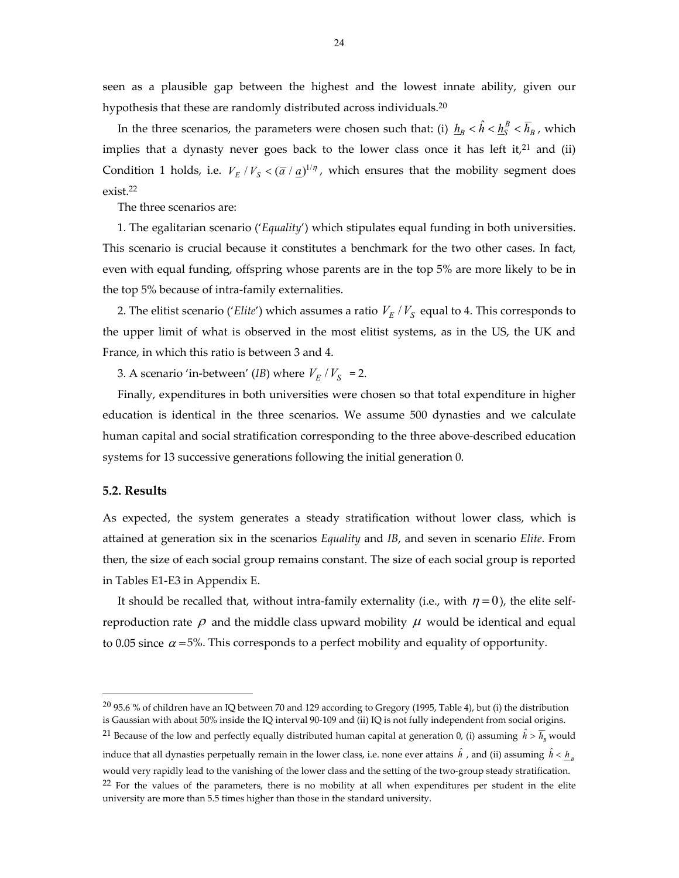seen as a plausible gap between the highest and the lowest innate ability, given our hypothesis that these are randomly distributed across individuals.<sup>20</sup>

In the three scenarios, the parameters were chosen such that: (i)  $\underline{h}_B<\hat{h}<\underline{h}_S^B<\overline{h}_B$  , which implies that a dynasty never goes back to the lower class once it has left it,<sup>21</sup> and (ii) Condition 1 holds, i.e.  $V_E / V_S < (\overline{a} / \underline{a})^{1/\eta}$ , which ensures that the mobility segment does exist.22

The three scenarios are:

1. The egalitarian scenario ('*Equality*') which stipulates equal funding in both universities. This scenario is crucial because it constitutes a benchmark for the two other cases. In fact, even with equal funding, offspring whose parents are in the top 5% are more likely to be in the top 5% because of intra‐family externalities.

2. The elitist scenario ('*Elite'*) which assumes a ratio  $V_E/V_S$  equal to 4. This corresponds to the upper limit of what is observed in the most elitist systems, as in the US, the UK and France, in which this ratio is between 3 and 4.

3. A scenario 'in-between' (*IB*) where  $V_E / V_S$  = 2.

Finally, expenditures in both universities were chosen so that total expenditure in higher education is identical in the three scenarios. We assume 500 dynasties and we calculate human capital and social stratification corresponding to the three above-described education systems for 13 successive generations following the initial generation 0.

#### **5.2. Results**

 $\overline{a}$ 

As expected, the system generates a steady stratification without lower class, which is attained at generation six in the scenarios *Equality* and *IB*, and seven in scenario *Elite*. From then, the size of each social group remains constant. The size of each social group is reported in Tables E1‐E3 in Appendix E.

It should be recalled that, without intra-family externality (i.e., with  $\eta = 0$ ), the elite selfreproduction rate  $\rho$  and the middle class upward mobility  $\mu$  would be identical and equal to 0.05 since  $\alpha$  =5%. This corresponds to a perfect mobility and equality of opportunity.

<sup>21</sup> Because of the low and perfectly equally distributed human capital at generation 0, (i) assuming  $\hat{h} > \overline{h}_B$  would

induce that all dynasties perpetually remain in the lower class, i.e. none ever attains  $\hat{h}$  , and (ii) assuming  $\hat{h} < \underline{h}_B$ would very rapidly lead to the vanishing of the lower class and the setting of the two-group steady stratification. <sup>22</sup> For the values of the parameters, there is no mobility at all when expenditures per student in the elite university are more than 5.5 times higher than those in the standard university.

 $20$  95.6 % of children have an IQ between 70 and 129 according to Gregory (1995, Table 4), but (i) the distribution is Gaussian with about 50% inside the IQ interval 90‐109 and (ii) IQ is not fully independent from social origins.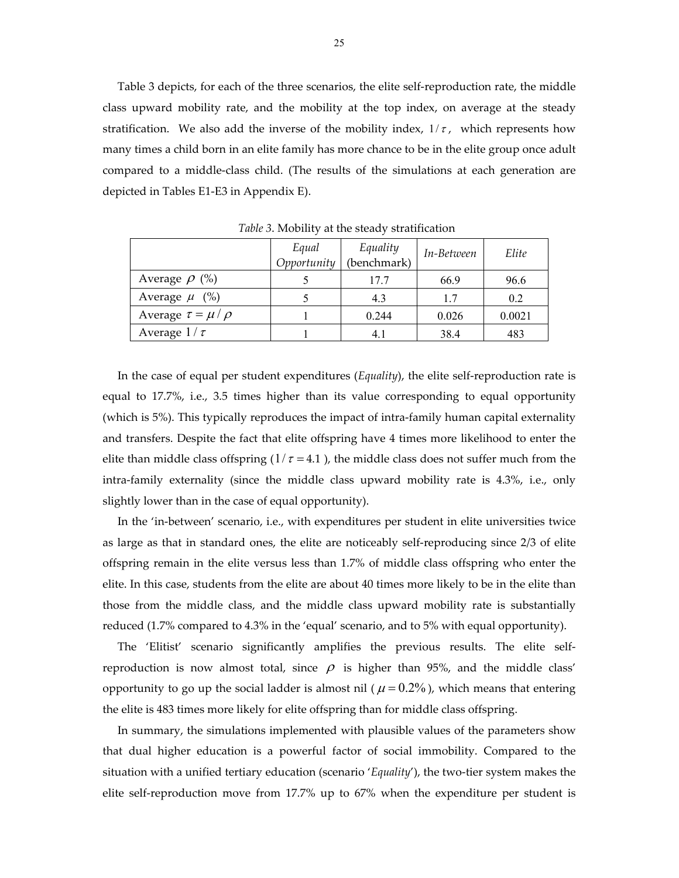Table 3 depicts, for each of the three scenarios, the elite self-reproduction rate, the middle class upward mobility rate, and the mobility at the top index, on average at the steady stratification. We also add the inverse of the mobility index,  $1/\tau$ , which represents how many times a child born in an elite family has more chance to be in the elite group once adult compared to a middle‐class child. (The results of the simulations at each generation are depicted in Tables E1‐E3 in Appendix E).

|                             | Equal<br>Opportunity | Equality<br>(benchmark) | In-Between | Elite  |  |
|-----------------------------|----------------------|-------------------------|------------|--------|--|
| Average $\rho$ (%)          |                      | 17.7                    | 66.9       | 96.6   |  |
| Average $\mu$ (%)           |                      | 4.3                     | 1.7        | 0.2    |  |
| Average $\tau = \mu / \rho$ |                      | 0.244                   | 0.026      | 0.0021 |  |
| Average $1/\tau$            |                      | 4. I                    | 38.4       | 483    |  |

*Table 3*. Mobility at the steady stratification

In the case of equal per student expenditures (*Equality*), the elite self‐reproduction rate is equal to 17.7%, i.e., 3.5 times higher than its value corresponding to equal opportunity (which is 5%). This typically reproduces the impact of intra‐family human capital externality and transfers. Despite the fact that elite offspring have 4 times more likelihood to enter the elite than middle class offspring  $(1/\tau = 4.1)$ , the middle class does not suffer much from the intra-family externality (since the middle class upward mobility rate is 4.3%, i.e., only slightly lower than in the case of equal opportunity).

In the 'in-between' scenario, i.e., with expenditures per student in elite universities twice as large as that in standard ones, the elite are noticeably self‐reproducing since 2/3 of elite offspring remain in the elite versus less than 1.7% of middle class offspring who enter the elite. In this case, students from the elite are about 40 times more likely to be in the elite than those from the middle class, and the middle class upward mobility rate is substantially reduced (1.7% compared to 4.3% in the 'equal' scenario, and to 5% with equal opportunity).

The 'Elitist' scenario significantly amplifies the previous results. The elite self‐ reproduction is now almost total, since  $\rho$  is higher than 95%, and the middle class' opportunity to go up the social ladder is almost nil ( $\mu$  = 0.2%), which means that entering the elite is 483 times more likely for elite offspring than for middle class offspring.

In summary, the simulations implemented with plausible values of the parameters show that dual higher education is a powerful factor of social immobility. Compared to the situation with a unified tertiary education (scenario '*Equality*'), the two‐tier system makes the elite self-reproduction move from 17.7% up to 67% when the expenditure per student is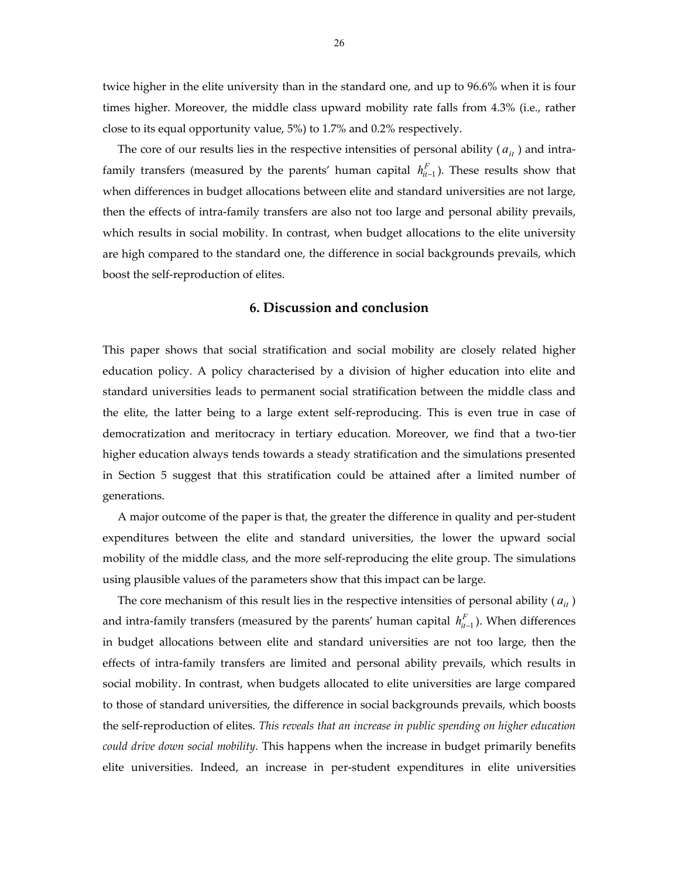twice higher in the elite university than in the standard one, and up to 96.6% when it is four times higher. Moreover, the middle class upward mobility rate falls from 4.3% (i.e., rather close to its equal opportunity value, 5%) to 1.7% and 0.2% respectively.

The core of our results lies in the respective intensities of personal ability  $(a_{it})$  and intrafamily transfers (measured by the parents' human capital  $h_{it-1}^F$ ). These results show that when differences in budget allocations between elite and standard universities are not large, then the effects of intra‐family transfers are also not too large and personal ability prevails, which results in social mobility. In contrast, when budget allocations to the elite university are high compared to the standard one, the difference in social backgrounds prevails, which boost the self‐reproduction of elites.

#### **6. Discussion and conclusion**

This paper shows that social stratification and social mobility are closely related higher education policy. A policy characterised by a division of higher education into elite and standard universities leads to permanent social stratification between the middle class and the elite, the latter being to a large extent self‐reproducing. This is even true in case of democratization and meritocracy in tertiary education. Moreover, we find that a two‐tier higher education always tends towards a steady stratification and the simulations presented in Section 5 suggest that this stratification could be attained after a limited number of generations.

A major outcome of the paper is that, the greater the difference in quality and per‐student expenditures between the elite and standard universities, the lower the upward social mobility of the middle class, and the more self‐reproducing the elite group. The simulations using plausible values of the parameters show that this impact can be large.

The core mechanism of this result lies in the respective intensities of personal ability ( $a_{it}$ ) and intra-family transfers (measured by the parents' human capital  $h_{it-1}^F$ ). When differences in budget allocations between elite and standard universities are not too large, then the effects of intra‐family transfers are limited and personal ability prevails, which results in social mobility. In contrast, when budgets allocated to elite universities are large compared to those of standard universities, the difference in social backgrounds prevails, which boosts the self‐reproduction of elites. *This reveals that an increase in public spending on higher education could drive down social mobility.* This happens when the increase in budget primarily benefits elite universities. Indeed, an increase in per‐student expenditures in elite universities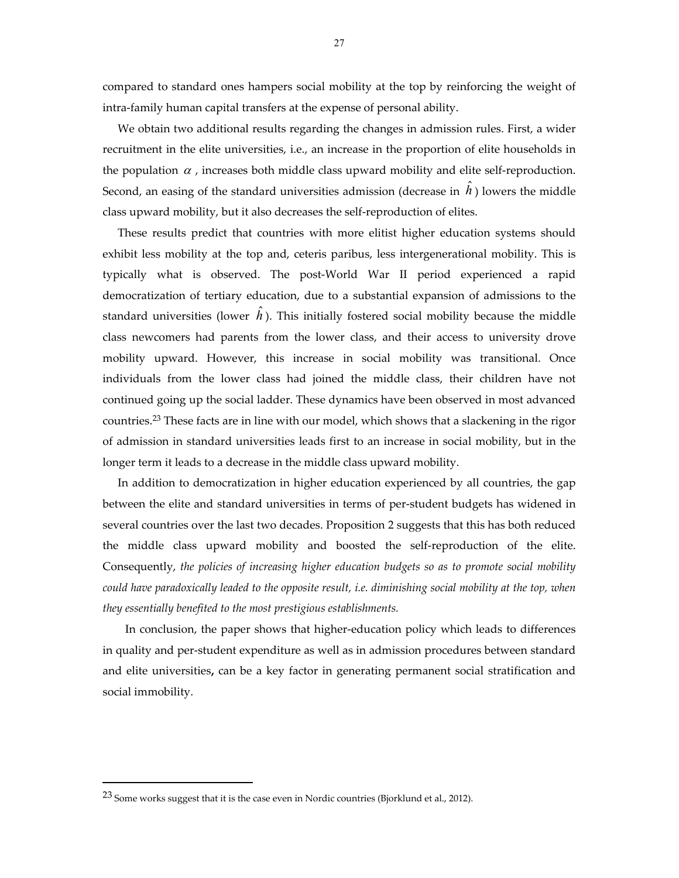compared to standard ones hampers social mobility at the top by reinforcing the weight of intra‐family human capital transfers at the expense of personal ability.

We obtain two additional results regarding the changes in admission rules. First, a wider recruitment in the elite universities, i.e., an increase in the proportion of elite households in the population  $\alpha$ , increases both middle class upward mobility and elite self-reproduction. Second, an easing of the standard universities admission (decrease in  $\hat{h}$  ) lowers the middle class upward mobility, but it also decreases the self‐reproduction of elites.

These results predict that countries with more elitist higher education systems should exhibit less mobility at the top and, ceteris paribus, less intergenerational mobility. This is typically what is observed. The post‐World War II period experienced a rapid democratization of tertiary education, due to a substantial expansion of admissions to the standard universities (lower  $\hat{h}$ ). This initially fostered social mobility because the middle class newcomers had parents from the lower class, and their access to university drove mobility upward. However, this increase in social mobility was transitional. Once individuals from the lower class had joined the middle class, their children have not continued going up the social ladder. These dynamics have been observed in most advanced countries.23 These facts are in line with our model, which shows that a slackening in the rigor of admission in standard universities leads first to an increase in social mobility, but in the longer term it leads to a decrease in the middle class upward mobility.

In addition to democratization in higher education experienced by all countries, the gap between the elite and standard universities in terms of per-student budgets has widened in several countries over the last two decades. Proposition 2 suggests that this has both reduced the middle class upward mobility and boosted the self-reproduction of the elite. Consequently, *the policies of increasing higher education budgets so as to promote social mobility could have paradoxically leaded to the opposite result, i.e. diminishing social mobility at the top, when they essentially benefited to the most prestigious establishments.*

 In conclusion, the paper shows that higher‐education policy which leads to differences in quality and per‐student expenditure as well as in admission procedures between standard and elite universities**,** can be a key factor in generating permanent social stratification and social immobility.

 $\overline{a}$ 

<sup>&</sup>lt;sup>23</sup> Some works suggest that it is the case even in Nordic countries (Bjorklund et al., 2012).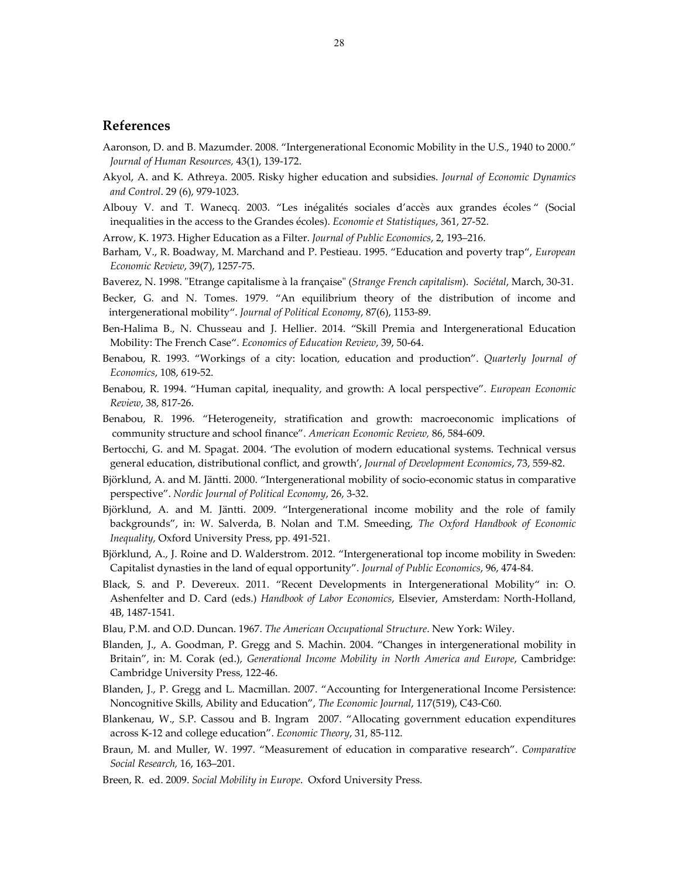#### **References**

- Aaronson, D. and B. Mazumder. 2008. "Intergenerational Economic Mobility in the U.S., 1940 to 2000." *Journal of Human Resources,* 43(1), 139‐172.
- Akyol, A. and K. Athreya. 2005. Risky higher education and subsidies. *Journal of Economic Dynamics and Control*. 29 (6), 979‐1023.
- Albouy V. and T. Wanecq. 2003. "Les inégalités sociales d'accès aux grandes écoles " (Social inequalities in the access to the Grandes écoles). *Economie et Statistiques*, 361, 27‐52.
- Arrow, K. 1973. Higher Education as a Filter. *Journal of Public Economics*, 2, 193–216.
- Barham, V., R. Boadway, M. Marchand and P. Pestieau. 1995. "Education and poverty trap", *European Economic Review*, 39(7), 1257‐75.
- Baverez, N. 1998. ʺEtrange capitalisme à la françaiseʺ (*Strange French capitalism*). *Sociétal*, March, 30‐31.
- Becker, G. and N. Tomes. 1979. "An equilibrium theory of the distribution of income and intergenerational mobility". *Journal of Political Economy*, 87(6), 1153‐89.
- Ben-Halima B., N. Chusseau and J. Hellier. 2014. "Skill Premia and Intergenerational Education Mobility: The French Case". *Economics of Education Review*, 39, 50‐64.
- Benabou, R. 1993. "Workings of a city: location, education and production". *Quarterly Journal of Economics*, 108, 619‐52.
- Benabou, R. 1994. "Human capital, inequality, and growth: A local perspective". *European Economic Review*, 38, 817‐26.
- Benabou, R. 1996. "Heterogeneity, stratification and growth: macroeconomic implications of community structure and school finance". *American Economic Review,* 86, 584‐609.
- Bertocchi, G. and M. Spagat. 2004. 'The evolution of modern educational systems. Technical versus general education, distributional conflict, and growth', *Journal of Development Economics*, 73, 559‐82.
- Björklund, A. and M. Jäntti. 2000. "Intergenerational mobility of socio‐economic status in comparative perspective". *Nordic Journal of Political Economy*, 26, 3‐32.
- Björklund, A. and M. Jäntti. 2009. "Intergenerational income mobility and the role of family backgrounds", in: W. Salverda, B. Nolan and T.M. Smeeding, *The Oxford Handbook of Economic Inequality*, Oxford University Press, pp. 491‐521.
- Björklund, A., J. Roine and D. Walderstrom. 2012. "Intergenerational top income mobility in Sweden: Capitalist dynasties in the land of equal opportunity". *Journal of Public Economics*, 96, 474‐84.
- Black, S. and P. Devereux. 2011. "Recent Developments in Intergenerational Mobility" in: O. Ashenfelter and D. Card (eds.) *Handbook of Labor Economics*, Elsevier, Amsterdam: North‐Holland, 4B, 1487‐1541.
- Blau, P.M. and O.D. Duncan. 1967. *The American Occupational Structure*. New York: Wiley.
- Blanden, J., A. Goodman, P. Gregg and S. Machin. 2004. "Changes in intergenerational mobility in Britain", in: M. Corak (ed.), *Generational Income Mobility in North America and Europe*, Cambridge: Cambridge University Press, 122‐46.
- Blanden, J., P. Gregg and L. Macmillan. 2007. "Accounting for Intergenerational Income Persistence: Noncognitive Skills, Ability and Education", *The Economic Journal*, 117(519), C43‐C60.
- Blankenau, W., S.P. Cassou and B. Ingram 2007. "Allocating government education expenditures across K‐12 and college education". *Economic Theory*, 31, 85‐112.
- Braun, M. and Muller, W. 1997. "Measurement of education in comparative research". *Comparative Social Research,* 16, 163–201.
- Breen, R. ed. 2009. *Social Mobility in Europe*. Oxford University Press.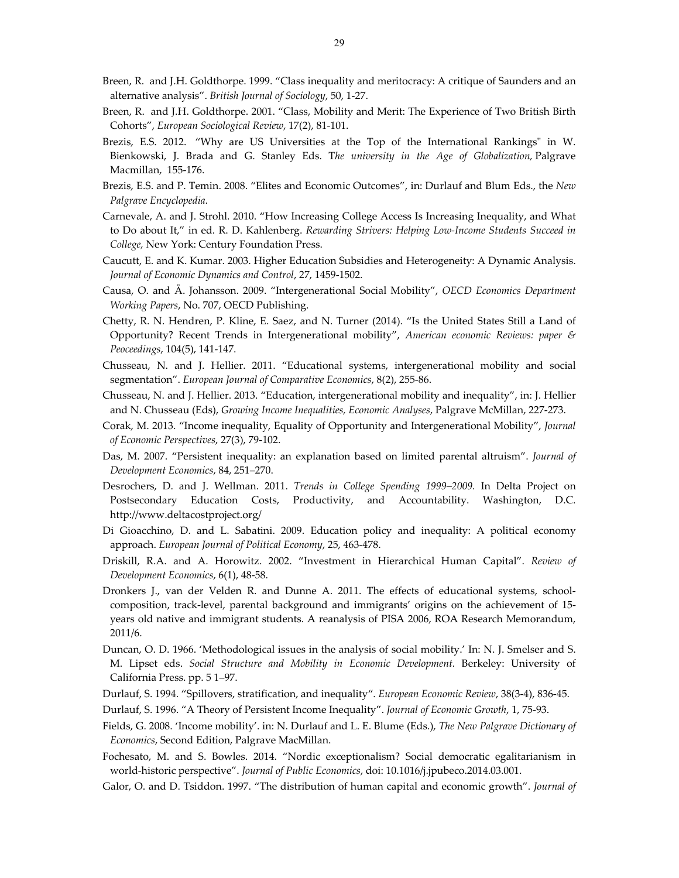- Breen, R. and J.H. Goldthorpe. 1999. "Class inequality and meritocracy: A critique of Saunders and an alternative analysis". *British Journal of Sociology*, 50, 1‐27.
- Breen, R. and J.H. Goldthorpe. 2001. "Class, Mobility and Merit: The Experience of Two British Birth Cohorts", *European Sociological Review*, 17(2), 81‐101.
- Brezis, E.S. 2012. "Why are US Universities at the Top of the International Rankings" in W. Bienkowski, J. Brada and G. Stanley Eds. T*he university in the Age of Globalization,* Palgrave Macmillan, 155‐176.
- Brezis, E.S. and P. Temin. 2008. "Elites and Economic Outcomes", in: Durlauf and Blum Eds., the *New Palgrave Encyclopedia*.
- Carnevale, A. and J. Strohl. 2010. "How Increasing College Access Is Increasing Inequality, and What to Do about It," in ed. R. D. Kahlenberg. *Rewarding Strivers: Helping Low‐Income Students Succeed in College,* New York: Century Foundation Press.
- Caucutt, E. and K. Kumar. 2003. Higher Education Subsidies and Heterogeneity: A Dynamic Analysis. *Journal of Economic Dynamics and Control*, 27, 1459‐1502.
- Causa, O. and Å. Johansson. 2009. "Intergenerational Social Mobility", *OECD Economics Department Working Papers*, No. 707, OECD Publishing.
- Chetty, R. N. Hendren, P. Kline, E. Saez, and N. Turner (2014). "Is the United States Still a Land of Opportunity? Recent Trends in Intergenerational mobility", *American economic Reviews: paper & Peoceedings*, 104(5), 141‐147.
- Chusseau, N. and J. Hellier. 2011. "Educational systems, intergenerational mobility and social segmentation". *European Journal of Comparative Economics*, 8(2), 255‐86.
- Chusseau, N. and J. Hellier. 2013. "Education, intergenerational mobility and inequality", in: J. Hellier and N. Chusseau (Eds), *Growing Income Inequalities, Economic Analyses*, Palgrave McMillan, 227‐273.
- Corak, M. 2013. "Income inequality, Equality of Opportunity and Intergenerational Mobility", *Journal of Economic Perspectives*, 27(3), 79‐102.
- Das, M. 2007. "Persistent inequality: an explanation based on limited parental altruism". *Journal of Development Economics*, 84, 251–270.
- Desrochers, D. and J. Wellman. 2011. *Trends in College Spending 1999–2009.* In Delta Project on Postsecondary Education Costs, Productivity, and Accountability. Washington, D.C. http://www.deltacostproject.org/
- Di Gioacchino, D. and L. Sabatini. 2009. Education policy and inequality: A political economy approach. *European Journal of Political Economy*, 25, 463‐478.
- Driskill, R.A. and A. Horowitz. 2002. "Investment in Hierarchical Human Capital". *Review of Development Economics*, 6(1), 48‐58.
- Dronkers J., van der Velden R. and Dunne A. 2011. The effects of educational systems, schoolcomposition, track‐level, parental background and immigrants' origins on the achievement of 15‐ years old native and immigrant students. A reanalysis of PISA 2006, ROA Research Memorandum, 2011/6.
- Duncan, O. D. 1966. 'Methodological issues in the analysis of social mobility.' In: N. J. Smelser and S. M. Lipset eds. *Social Structure and Mobility in Economic Development.* Berkeley: University of California Press. pp. 5 1–97.
- Durlauf, S. 1994. "Spillovers, stratification, and inequality". *European Economic Review*, 38(3‐4), 836‐45.
- Durlauf, S. 1996. "A Theory of Persistent Income Inequality". *Journal of Economic Growth*, 1, 75‐93.
- Fields, G. 2008. 'Income mobility'. in: N. Durlauf and L. E. Blume (Eds.), *The New Palgrave Dictionary of Economics*, Second Edition, Palgrave MacMillan.
- Fochesato, M. and S. Bowles. 2014. "Nordic exceptionalism? Social democratic egalitarianism in world‐historic perspective". *Journal of Public Economics*, doi: 10.1016/j.jpubeco.2014.03.001.
- Galor, O. and D. Tsiddon. 1997. "The distribution of human capital and economic growth". *Journal of*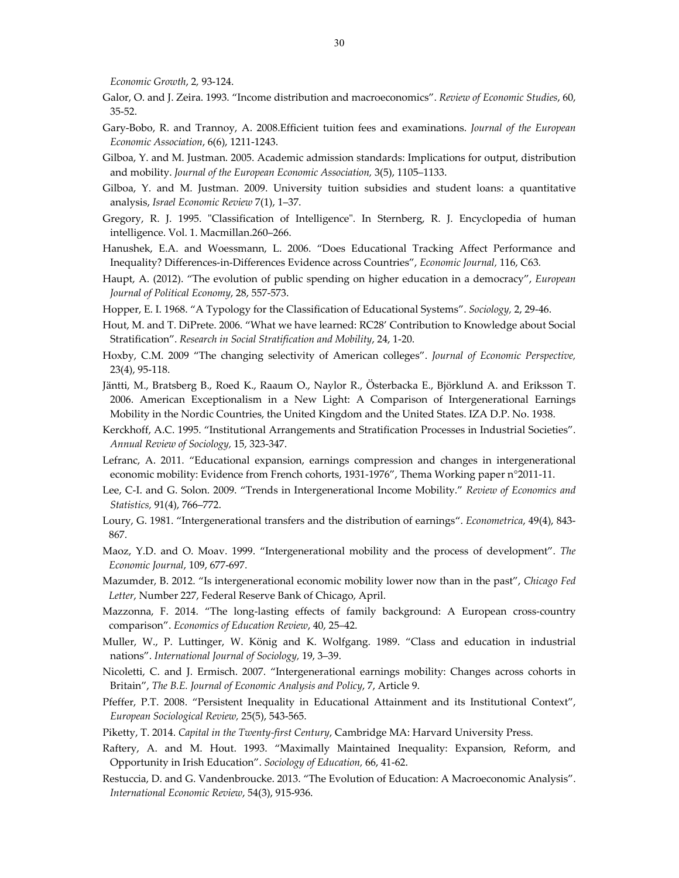*Economic Growth*, 2*,* 93‐124.

- Galor, O. and J. Zeira. 1993. "Income distribution and macroeconomics". *Review of Economic Studies*, 60, 35‐52.
- Gary‐Bobo, R. and Trannoy, A. 2008.Efficient tuition fees and examinations. *Journal of the European Economic Association*, 6(6), 1211‐1243.
- Gilboa, Y. and M. Justman. 2005. Academic admission standards: Implications for output, distribution and mobility. *Journal of the European Economic Association,* 3(5), 1105–1133.
- Gilboa, Y. and M. Justman. 2009. University tuition subsidies and student loans: a quantitative analysis, *Israel Economic Review* 7(1), 1–37.
- Gregory, R. J. 1995. "Classification of Intelligence". In Sternberg, R. J. Encyclopedia of human intelligence. Vol. 1. Macmillan.260–266.
- Hanushek, E.A. and Woessmann, L. 2006. "Does Educational Tracking Affect Performance and Inequality? Differences‐in‐Differences Evidence across Countries", *Economic Journal,* 116, C63*.*
- Haupt, A. (2012). "The evolution of public spending on higher education in a democracy", *European Journal of Political Economy*, 28, 557‐573.
- Hopper, E. I. 1968. "A Typology for the Classification of Educational Systems". *Sociology,* 2, 29‐46.
- Hout, M. and T. DiPrete. 2006. "What we have learned: RC28' Contribution to Knowledge about Social Stratification". *Research in Social Stratification and Mobility*, 24, 1‐20.
- Hoxby, C.M. 2009 "The changing selectivity of American colleges". *Journal of Economic Perspective,* 23(4), 95‐118.
- Jäntti, M., Bratsberg B., Roed K., Raaum O., Naylor R., Österbacka E., Björklund A. and Eriksson T. 2006. American Exceptionalism in a New Light: A Comparison of Intergenerational Earnings Mobility in the Nordic Countries, the United Kingdom and the United States. IZA D.P. No. 1938.
- Kerckhoff, A.C. 1995. "Institutional Arrangements and Stratification Processes in Industrial Societies". *Annual Review of Sociology,* 15, 323‐347.
- Lefranc, A. 2011. "Educational expansion, earnings compression and changes in intergenerational economic mobility: Evidence from French cohorts, 1931‐1976", Thema Working paper n°2011‐11.
- Lee, C‐I. and G. Solon. 2009. "Trends in Intergenerational Income Mobility." *Review of Economics and Statistics,* 91(4), 766–772.
- Loury, G. 1981. "Intergenerational transfers and the distribution of earnings". *Econometrica*, 49(4), 843‐ 867.
- Maoz, Y.D. and O. Moav. 1999. "Intergenerational mobility and the process of development". *The Economic Journal*, 109, 677‐697.
- Mazumder, B. 2012. "Is intergenerational economic mobility lower now than in the past", *Chicago Fed Letter*, Number 227, Federal Reserve Bank of Chicago, April.
- Mazzonna, F. 2014. "The long-lasting effects of family background: A European cross-country comparison". *Economics of Education Review*, 40, 25–42.
- Muller, W., P. Luttinger, W. König and K. Wolfgang. 1989. "Class and education in industrial nations". *International Journal of Sociology,* 19, 3–39.
- Nicoletti, C. and J. Ermisch. 2007. "Intergenerational earnings mobility: Changes across cohorts in Britain", *The B.E. Journal of Economic Analysis and Policy*, 7, Article 9.
- Pfeffer, P.T. 2008. "Persistent Inequality in Educational Attainment and its Institutional Context", *European Sociological Review,* 25(5), 543‐565.
- Piketty, T. 2014. *Capital in the Twenty‐first Century*, Cambridge MA: Harvard University Press.
- Raftery, A. and M. Hout. 1993. "Maximally Maintained Inequality: Expansion, Reform, and Opportunity in Irish Education". *Sociology of Education,* 66, 41‐62.
- Restuccia, D. and G. Vandenbroucke. 2013. "The Evolution of Education: A Macroeconomic Analysis". *International Economic Review*, 54(3), 915‐936.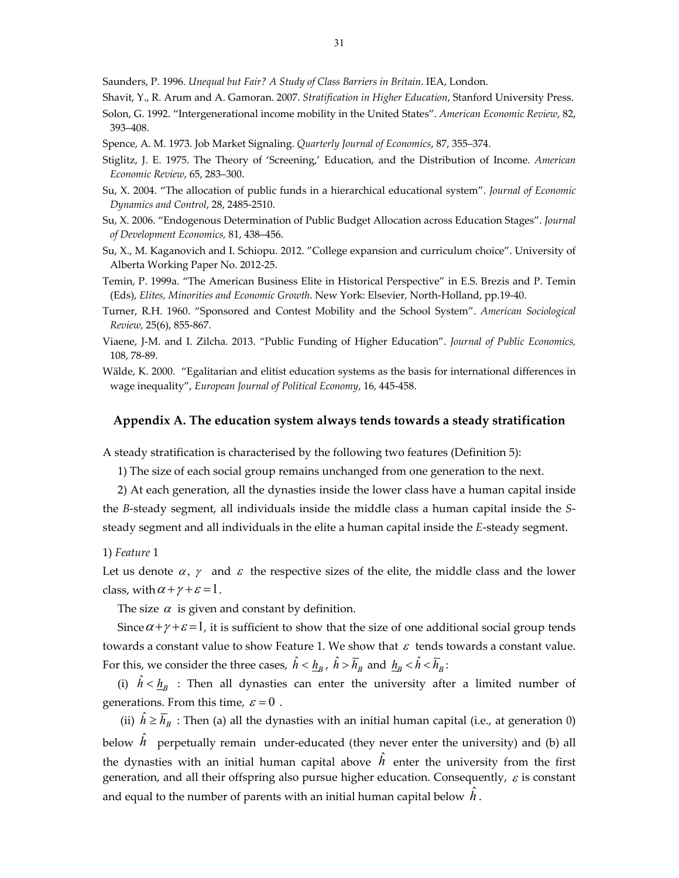Saunders, P. 1996*. Unequal but Fair? A Study of Class Barriers in Britain*. IEA, London.

Shavit, Y., R. Arum and A. Gamoran. 2007. *Stratification in Higher Education*, Stanford University Press.

- Solon, G. 1992. "Intergenerational income mobility in the United States". *American Economic Review*, 82, 393–408.
- Spence, A. M. 1973. Job Market Signaling. *Quarterly Journal of Economics*, 87, 355–374.
- Stiglitz, J. E. 1975. The Theory of 'Screening,' Education, and the Distribution of Income. *American Economic Review*, 65, 283–300.
- Su, X. 2004. "The allocation of public funds in a hierarchical educational system". *Journal of Economic Dynamics and Control*, 28, 2485‐2510.
- Su, X. 2006. "Endogenous Determination of Public Budget Allocation across Education Stages". *Journal of Development Economics,* 81, 438–456.
- Su, X., M. Kaganovich and I. Schiopu. 2012. "College expansion and curriculum choice". University of Alberta Working Paper No. 2012‐25.
- Temin, P. 1999a. "The American Business Elite in Historical Perspective" in E.S. Brezis and P. Temin (Eds), *Elites, Minorities and Economic Growth*. New York: Elsevier, North‐Holland, pp.19‐40.
- Turner, R.H. 1960. "Sponsored and Contest Mobility and the School System". *American Sociological Review,* 25(6), 855‐867.
- Viaene, J‐M. and I. Zilcha. 2013. "Public Funding of Higher Education". *Journal of Public Economics,* 108, 78‐89.
- Wälde, K. 2000. "Egalitarian and elitist education systems as the basis for international differences in wage inequality", *European Journal of Political Economy*, 16, 445‐458.

#### **Appendix A. The education system always tends towards a steady stratification**

A steady stratification is characterised by the following two features (Definition 5):

1) The size of each social group remains unchanged from one generation to the next.

2) At each generation, all the dynasties inside the lower class have a human capital inside the *B*‐steady segment, all individuals inside the middle class a human capital inside the *S*‐ steady segment and all individuals in the elite a human capital inside the *E*‐steady segment.

1) *Feature* 1

Let us denote  $\alpha$ ,  $\gamma$  and  $\epsilon$  the respective sizes of the elite, the middle class and the lower class, with  $\alpha + \gamma + \varepsilon = 1$ .

The size  $\alpha$  is given and constant by definition.

Since  $\alpha + \gamma + \varepsilon = 1$ , it is sufficient to show that the size of one additional social group tends towards a constant value to show Feature 1. We show that  $\varepsilon$  tends towards a constant value. For this, we consider the three cases,  $\hat{h} < h_R$ ,  $\hat{h} > \overline{h}_R$  and  $h_R < \hat{h} < \overline{h}_R$ :

(i)  $\hat{h} < h_R$  : Then all dynasties can enter the university after a limited number of generations. From this time,  $\varepsilon = 0$ .

(ii)  $\hat{h} \ge \overline{h}_B$ : Then (a) all the dynasties with an initial human capital (i.e., at generation 0) below  $\hat{h}$  perpetually remain under-educated (they never enter the university) and (b) all the dynasties with an initial human capital above  $\hat{h}$  enter the university from the first generation, and all their offspring also pursue higher education. Consequently,  $\varepsilon$  is constant and equal to the number of parents with an initial human capital below  $\,\hat{h}$  .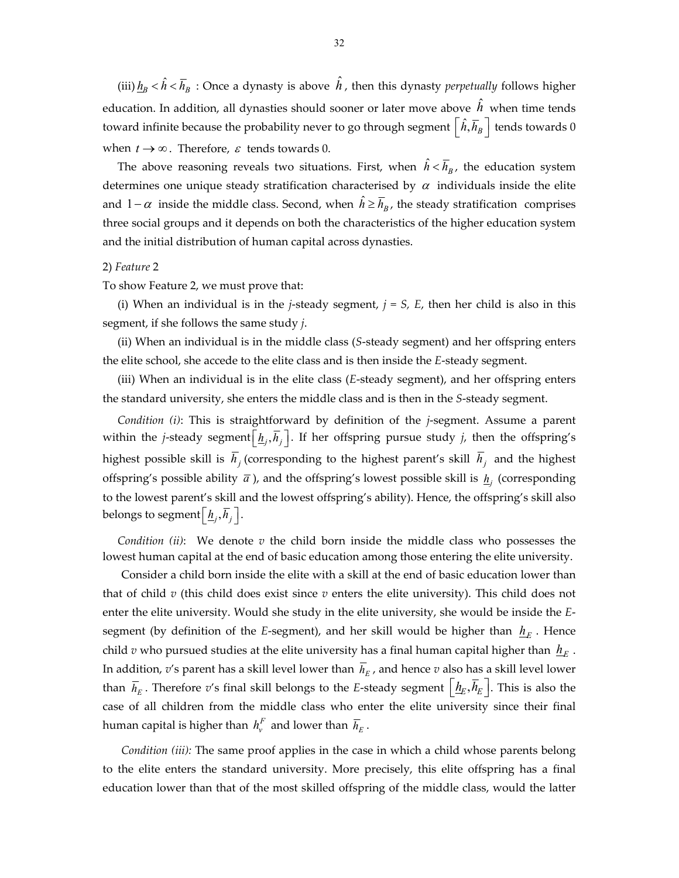(iii)  $\underline{h}_B<\hat{h}<\overline{h}_B$  : Once a dynasty is above  $\hat{h}$  , then this dynasty *perpetually* follows higher education. In addition, all dynasties should sooner or later move above  $\hat{h}$  when time tends toward infinite because the probability never to go through segment  $|\hat{h}, \overline{h}_B|$  tends towards 0 when  $t \rightarrow \infty$ . Therefore,  $\varepsilon$  tends towards 0.

The above reasoning reveals two situations. First, when  $\hat{h} < \overline{h}_B$ , the education system determines one unique steady stratification characterised by  $\alpha$  individuals inside the elite and  $1-\alpha$  inside the middle class. Second, when  $\hat{h} \ge \overline{h}_B$ , the steady stratification comprises three social groups and it depends on both the characteristics of the higher education system and the initial distribution of human capital across dynasties.

#### 2) *Feature* 2

To show Feature 2, we must prove that:

(i) When an individual is in the *j*-steady segment,  $j = S$ ,  $E$ , then her child is also in this segment, if she follows the same study *j*.

(ii) When an individual is in the middle class (*S*‐steady segment) and her offspring enters the elite school, she accede to the elite class and is then inside the *E*‐steady segment.

(iii) When an individual is in the elite class (*E*‐steady segment), and her offspring enters the standard university, she enters the middle class and is then in the *S*‐steady segment.

*Condition (i)*: This is straightforward by definition of the *j*‐segment. Assume a parent within the *j*-steady segment  $[\underline{h}_j, \overline{h}_j]$ . If her offspring pursue study *j*, then the offspring's highest possible skill is  $\overline{h}_i$  (corresponding to the highest parent's skill  $\overline{h}_i$  and the highest offspring's possible ability  $\bar{a}$ ), and the offspring's lowest possible skill is  $\underline{h}_i$  (corresponding to the lowest parent's skill and the lowest offspring's ability). Hence, the offspring's skill also belongs to segment  $\left[\underline{h}_j, \overline{h}_j\right]$ .

*Condition (ii)*: We denote *v* the child born inside the middle class who possesses the lowest human capital at the end of basic education among those entering the elite university.

Consider a child born inside the elite with a skill at the end of basic education lower than that of child *v* (this child does exist since *v* enters the elite university). This child does not enter the elite university. Would she study in the elite university, she would be inside the *E*‐ segment (by definition of the *E*-segment), and her skill would be higher than  $h_E$ . Hence child *v* who pursued studies at the elite university has a final human capital higher than  $h_{\text{E}}$ . In addition,  $v$ 's parent has a skill level lower than  $\overline{h}_E$ , and hence  $v$  also has a skill level lower than  $\bar{h}_E$ . Therefore *v*'s final skill belongs to the *E*-steady segment  $\left[\underline{h}_E, \bar{h}_E\right]$ . This is also the case of all children from the middle class who enter the elite university since their final human capital is higher than  $\textit{h}^F_{v}$  and lower than  $\overline{\textit{h}}_{E}$  .

*Condition (iii):* The same proof applies in the case in which a child whose parents belong to the elite enters the standard university. More precisely, this elite offspring has a final education lower than that of the most skilled offspring of the middle class, would the latter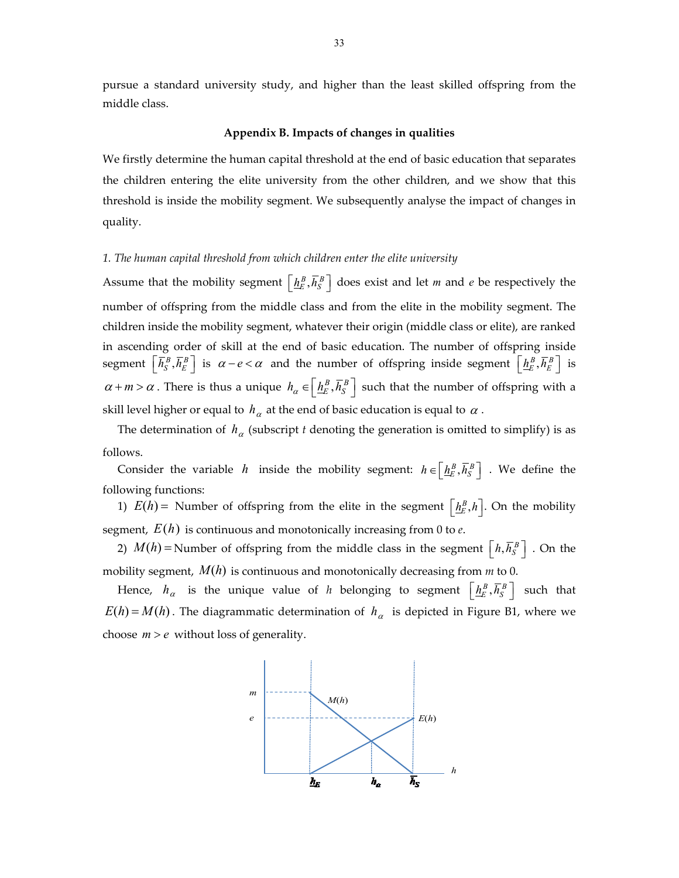pursue a standard university study, and higher than the least skilled offspring from the middle class.

#### **Appendix B. Impacts of changes in qualities**

We firstly determine the human capital threshold at the end of basic education that separates the children entering the elite university from the other children, and we show that this threshold is inside the mobility segment. We subsequently analyse the impact of changes in quality.

#### *1. The human capital threshold from which children enter the elite university*

Assume that the mobility segment  $\left[ \frac{h^B_E}{h^B_S} \right]$  does exist and let *m* and *e* be respectively the number of offspring from the middle class and from the elite in the mobility segment. The children inside the mobility segment, whatever their origin (middle class or elite), are ranked in ascending order of skill at the end of basic education. The number of offspring inside  $\mathbf{S} = \left[ \overline{h}_S^B, \overline{h}_E^B \right]$  is  $\alpha - e < \alpha$  and the number of offspring inside segment  $\left[ \underline{h}_E^B, \overline{h}_E^B \right]$  is  $\alpha + m > \alpha$ . There is thus a unique  $h_{\alpha} \in \left[\frac{h_{E}^{B}, \overline{h}_{S}^{B}}{E, \overline{h}_{S}^{B}}\right]$  such that the number of offspring with a skill level higher or equal to  $h_\alpha$  at the end of basic education is equal to  $\alpha$ .

The determination of  $h_\alpha$  (subscript *t* denoting the generation is omitted to simplify) is as follows.

Consider the variable *h* inside the mobility segment:  $h \in \left[\underline{h_E^B}, \overline{h_S^B}\right]$ . We define the following functions:

1)  $E(h)$  = Number of offspring from the elite in the segment  $\left[\underline{h}_E^B,h\right]$ . On the mobility segment,  $E(h)$  is continuous and monotonically increasing from 0 to  $e$ .

2)  $M(h)$  = Number of offspring from the middle class in the segment  $\left[ h,\overline{h}_{S}^{B} \right]$  . On the mobility segment,  $M(h)$  is continuous and monotonically decreasing from  $m$  to 0.

Hence,  $h_{\alpha}$  is the unique value of *h* belonging to segment  $\left[ \frac{h_{E}^{B}}{E}, \overline{h}_{S}^{B} \right]$  such that  $E(h) = M(h)$ . The diagrammatic determination of  $h_\alpha$  is depicted in Figure B1, where we choose  $m > e$  without loss of generality.

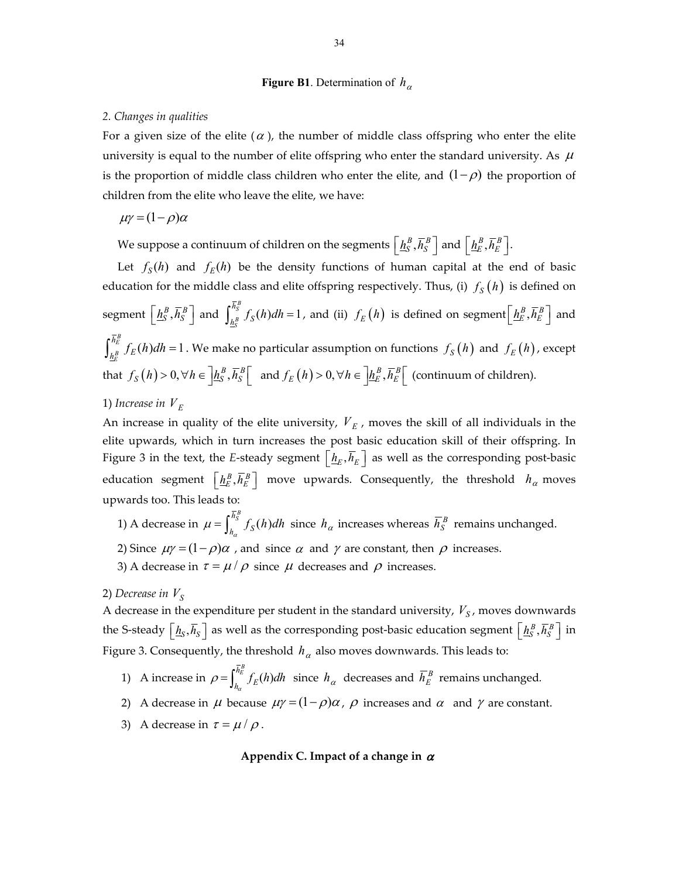#### **Figure B1**. Determination of  $h_\alpha$

#### *2. Changes in qualities*

For a given size of the elite ( $\alpha$ ), the number of middle class offspring who enter the elite university is equal to the number of elite offspring who enter the standard university. As  $\mu$ is the proportion of middle class children who enter the elite, and  $(1 - \rho)$  the proportion of children from the elite who leave the elite, we have:

$$
\mu\gamma = (1 - \rho)\alpha
$$

We suppose a continuum of children on the segments  $\left[\underline{h}_S^B, \overline{h}_S^B\right]$  and  $\left[\underline{h}_E^B, \overline{h}_E^B\right]$ .

Let  $f_s(h)$  and  $f_k(h)$  be the density functions of human capital at the end of basic education for the middle class and elite offspring respectively. Thus, (i)  $f_s(h)$  is defined on  $\text{segment}\left[\underline{h}_{S}^{B}, \overline{h}_{S}^{B}\right]$  and  $\int_{h_{S}^{B}}^{\overline{h}_{S}^{B}} f_{S}(h) dh = 1$ *B S*  $\int_{h_s^B}^{h_s^B} f_S(h)dh = 1$  , and (ii)  $f_E(h)$  is defined on segment $\left[\underline{h}_E^B, \overline{h}_E^B\right]$  and  $\int_{B}^{B} f_E(h) dh = 1$ *B E*  $\int_{h_E^B}^{h_E^B} f_E(h)dh = 1$  . We make no particular assumption on functions  $f_S(h)$  and  $f_E(h)$ , except that  $f_S(h) > 0, \forall h \in \left] \underline{h_S^B}, \overline{h_S^B} \right[$  and  $f_E(h) > 0, \forall h \in \left] \underline{h_E^B}, \overline{h_E^B} \right[$  (continuum of children).

#### 1) *Increase* in  $V_E$

An increase in quality of the elite university,  $V_E$ , moves the skill of all individuals in the elite upwards, which in turn increases the post basic education skill of their offspring. In Figure 3 in the text, the *E*-steady segment  $\left[\underline{h}_E, \overline{h}_E\right]$  as well as the corresponding post-basic education segment  $\left[\underline{h_E^B}, \overline{h_E^B}\right]$  move upwards. Consequently, the threshold  $h_\alpha$  moves upwards too. This leads to:

- 1) A decrease in  $\mu = \int_{h_\alpha}^{\overline{h}_S^B} f_S(h)dh$  since  $h_\alpha$  increases whereas  $\overline{h}_S^B$  remains unchanged.
- 2) Since  $\mu \gamma = (1 \rho)\alpha$ , and since  $\alpha$  and  $\gamma$  are constant, then  $\rho$  increases.
- 3) A decrease in  $\tau = \mu / \rho$  since  $\mu$  decreases and  $\rho$  increases.

#### 2) *Decrease* in  $V_S$

A decrease in the expenditure per student in the standard university,  $V_s$ , moves downwards the S-steady  $\left[\underline{h}_S,\overline{h}_S\right]$  as well as the corresponding post-basic education segment  $\left\lfloor\frac{h_S^B}{h_S^S},\overline{h}_S^B\right\rfloor$  in Figure 3. Consequently, the threshold  $h_\alpha$  also moves downwards. This leads to:

- 1) A increase in  $\rho = \int_{h_a}^{\bar{h}_E^B} f_E(h)dh$  since  $h_\alpha$  decreases and  $\bar{h}_E^B$  remains unchanged.
- 2) A decrease in  $\mu$  because  $\mu\gamma = (1 \rho)\alpha$ ,  $\rho$  increases and  $\alpha$  and  $\gamma$  are constant.
- 3) A decrease in  $\tau = \mu / \rho$ .

#### Appendix C. Impact of a change in  $\alpha$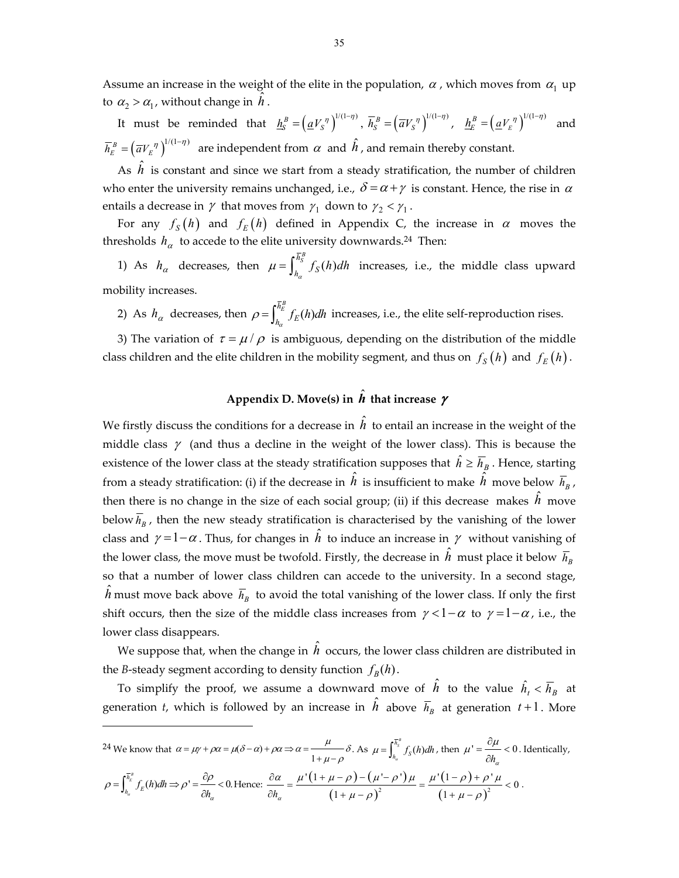Assume an increase in the weight of the elite in the population,  $\alpha$ , which moves from  $\alpha_1$  up to  $\alpha_2 > \alpha_1$ , without change in  $\hat{h}$ .

It must be reminded that  $\underline{h}_S^B = (\underline{a}V_S^{\eta})^{1/(1-\eta)}, \ \overline{h}_S^B = (\overline{a}V_S^{\eta})^{1/(1-\eta)}, \ \ \underline{h}_E^B = (\underline{a}V_E^{\eta})^{1/(1-\eta)}$  $\underline{h}_E^B = \left(\underline{a} V_E^{\ \eta}\right)^{1/(1-\eta)}$  and  $\overline{h}_E^B = (\overline{a}V_E^{\ \eta})^{1/(1-\eta)}$  are independent from  $\alpha$  and  $\hat{h}$ , and remain thereby constant.

As  $\hat{h}$  is constant and since we start from a steady stratification, the number of children who enter the university remains unchanged, i.e.,  $\delta = \alpha + \gamma$  is constant. Hence, the rise in  $\alpha$ entails a decrease in  $\gamma$  that moves from  $\gamma_1$  down to  $\gamma_2 < \gamma_1$ .

For any  $f_S(h)$  and  $f_E(h)$  defined in Appendix C, the increase in  $\alpha$  moves the thresholds  $h_{\alpha}$  to accede to the elite university downwards.<sup>24</sup> Then:

1) As  $h_{\alpha}$  decreases, then  $\mu = \int_{h_{\alpha}}^{\overline{h}_{\overline{S}}^B} f_S(h) dh$  increases, i.e., the middle class upward mobility increases.

2) As  $h_\alpha$  decreases, then  $\rho = \int_{h_\alpha}^{\bar{h}_E^B} f_E(h) dh$  increases, i.e., the elite self-reproduction rises.

3) The variation of  $\tau = \mu / \rho$  is ambiguous, depending on the distribution of the middle class children and the elite children in the mobility segment, and thus on  $f_S(h)$  and  $f_E(h)$ .

# Appendix D. Move(s) in  $\hat{\textbf{\textit{h}}}$  that increase  $\textbf{\textit{y}}$

We firstly discuss the conditions for a decrease in  $\hat{h}$  to entail an increase in the weight of the middle class  $\gamma$  (and thus a decline in the weight of the lower class). This is because the existence of the lower class at the steady stratification supposes that  $\hat{h} \geq \overline{h}_B$ . Hence, starting from a steady stratification: (i) if the decrease in  $\hat{h}$  is insufficient to make  $\hat{h}$  move below  $\overline{h}_B$  , then there is no change in the size of each social group; (ii) if this decrease makes  $\hat{h}$  move below  $\overline{h}_R$ , then the new steady stratification is characterised by the vanishing of the lower class and  $\gamma = 1 - \alpha$ . Thus, for changes in  $\hat{h}$  to induce an increase in  $\gamma$  without vanishing of the lower class, the move must be twofold. Firstly, the decrease in  $\hat{h}\,$  must place it below  $\,\overline{h}_\mathit{B}\,$ so that a number of lower class children can accede to the university. In a second stage,  $\hat{h}$  must move back above  $\,\overline{\!h}_B\,$  to avoid the total vanishing of the lower class. If only the first shift occurs, then the size of the middle class increases from  $\gamma < 1-\alpha$  to  $\gamma = 1-\alpha$ , i.e., the lower class disappears.

We suppose that, when the change in  $\hat{h}$  occurs, the lower class children are distributed in the *B*-steady segment according to density function  $f_B(h)$ .

To simplify the proof, we assume a downward move of  $\hat{h}$  to the value  $\hat{h_t} < \overline{h}_B$  at generation *t,* which is followed by an increase in  $\hat{h}$  above  $\overline{h}_B$  at generation  $t+1$ . More

 $\overline{a}$ 

$$
24 \text{ We know that } \alpha = \mu\gamma + \rho\alpha = \mu(\delta - \alpha) + \rho\alpha \Rightarrow \alpha = \frac{\mu}{1 + \mu - \rho} \delta. \text{ As } \mu = \int_{h_a}^{\overline{h}_s^*} f_s(h)dh, \text{ then } \mu' = \frac{\partial \mu}{\partial h_\alpha} < 0. \text{ Identically,}
$$
\n
$$
\rho = \int_{h_a}^{\overline{h}_s^*} f_k(h)dh \Rightarrow \rho' = \frac{\partial \rho}{\partial h_\alpha} < 0. \text{ Hence: } \frac{\partial \alpha}{\partial h_\alpha} = \frac{\mu'(1 + \mu - \rho) - (\mu' - \rho')\mu}{(1 + \mu - \rho)^2} = \frac{\mu'(1 - \rho) + \rho'\mu}{(1 + \mu - \rho)^2} < 0.
$$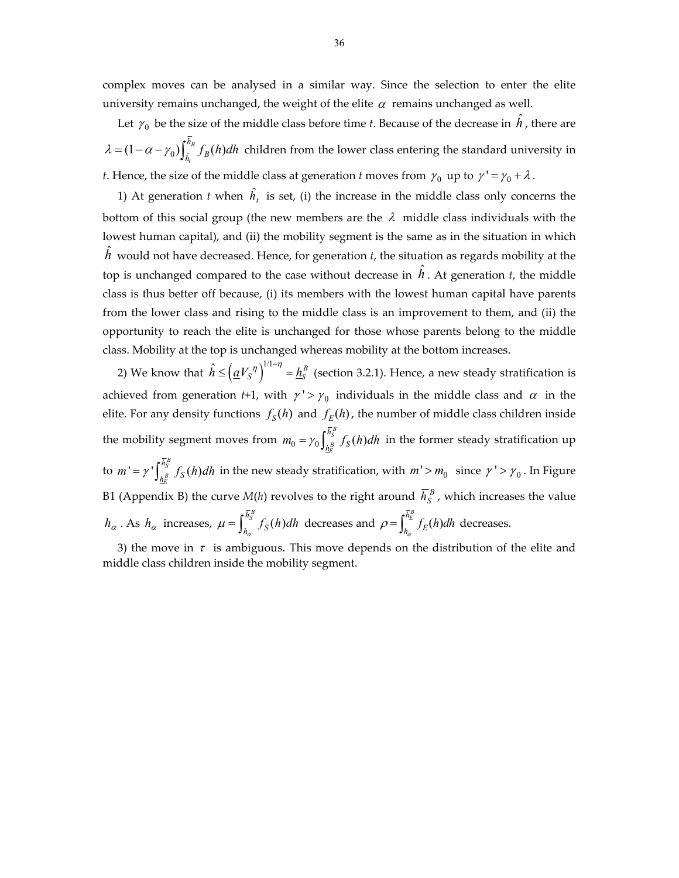complex moves can be analysed in a similar way. Since the selection to enter the elite university remains unchanged, the weight of the elite  $\alpha$  remains unchanged as well.

Let  $\gamma_0$  be the size of the middle class before time *t*. Because of the decrease in  $\hat{h}$  , there are  $(1 - \alpha - \gamma_0) \int_{\hat{h}_t}^{n_B} f_B(h)$  $\lambda = (1 - \alpha - \gamma_0) \int_{\hat{h}_t}^{h_B} f_B(h) dh$  children from the lower class entering the standard university in *t*. Hence, the size of the middle class at generation *t* moves from  $\gamma_0$  up to  $\gamma' = \gamma_0 + \lambda$ .

1) At generation *t* when  $\hat{h}_t$  is set, (i) the increase in the middle class only concerns the bottom of this social group (the new members are the  $\lambda$  middle class individuals with the lowest human capital), and (ii) the mobility segment is the same as in the situation in which  $\hat{h}\,$  would not have decreased. Hence, for generation  $t$ , the situation as regards mobility at the top is unchanged compared to the case without decrease in  $\hat{h}$ . At generation *t*, the middle class is thus better off because, (i) its members with the lowest human capital have parents from the lower class and rising to the middle class is an improvement to them, and (ii) the opportunity to reach the elite is unchanged for those whose parents belong to the middle class. Mobility at the top is unchanged whereas mobility at the bottom increases.

2) We know that  $\hat{h} \leq (\underline{a}V_S^{\ \eta})^{1/1-\eta} = \underline{h}_S^{\ B}$  (section 3.2.1). Hence, a new steady stratification is achieved from generation *t*+1, with  $\gamma' > \gamma_0$  individuals in the middle class and  $\alpha$  in the elite. For any density functions  $f_S(h)$  and  $f_F(h)$ , the number of middle class children inside the mobility segment moves from  $m_0 = \gamma_0 \int_{\mu_B}^{\overline{R}_S^B} f_S(h)$ *B E h*  $m_0 = \gamma_0 \int_{\mu_R^B}^{\mu_S} f_S(h) dh$  in the former steady stratification up to  $m' = \gamma' \int_{\gamma}^{\overline{h}_S^B} f_S(h)$ *B E h*  $m' = \gamma' \int_{h_R^B}^{h_S} f_S(h) dh$  in the new steady stratification, with  $m' > m_0$  since  $\gamma' > \gamma_0$ . In Figure B1 (Appendix B) the curve  $M(h)$  revolves to the right around  $\overline{h}_{S}^{B}$  , which increases the value  $h_{\alpha}$  . As  $h_{\alpha}$  increases,  $\mu = \int_{h_{\alpha}}^{\overline{h}_{\overline{S}}^B} f_S(h) dh$  decreases and  $\rho = \int_{h_{\alpha}}^{\overline{h}_{\overline{E}}^B} f_E(h) dh$  decreases.

3) the move in  $\tau$  is ambiguous. This move depends on the distribution of the elite and middle class children inside the mobility segment.